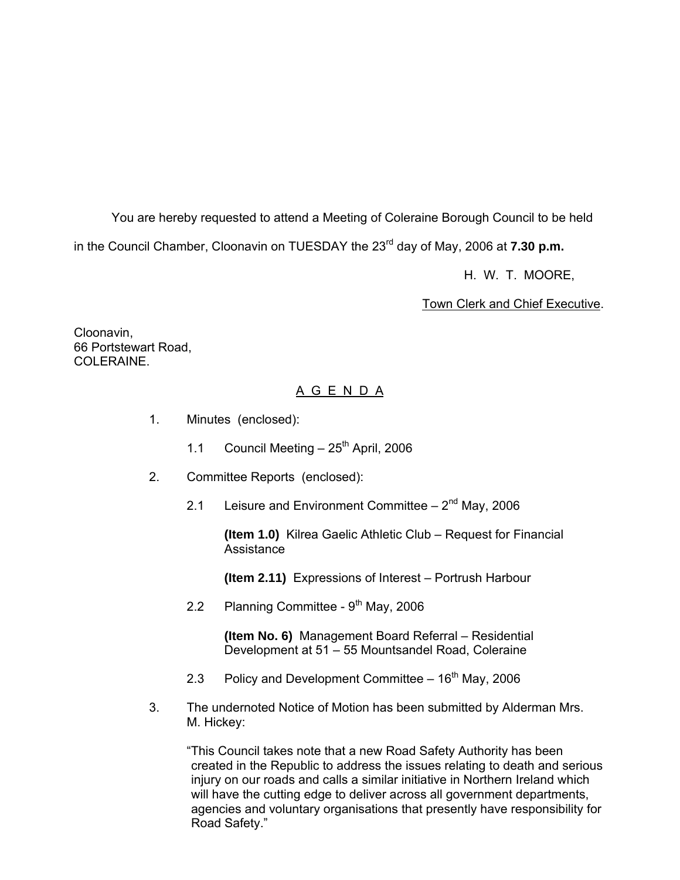You are hereby requested to attend a Meeting of Coleraine Borough Council to be held

in the Council Chamber, Cloonavin on TUESDAY the 23<sup>rd</sup> day of May, 2006 at **7.30 p.m.** 

H. W. T. MOORE,

Town Clerk and Chief Executive.

Cloonavin, 66 Portstewart Road, COLERAINE

# A G E N D A

- 1. Minutes (enclosed):
	- 1.1 Council Meeting  $-25$ <sup>th</sup> April, 2006
- 2. Committee Reports (enclosed):
	- 2.1 Leisure and Environment Committee  $-2<sup>nd</sup>$  May, 2006

 **(Item 1.0)** Kilrea Gaelic Athletic Club – Request for Financial **Assistance** 

**(Item 2.11)** Expressions of Interest – Portrush Harbour

2.2 Planning Committee -  $9<sup>th</sup>$  May, 2006

 **(Item No. 6)** Management Board Referral – Residential Development at 51 – 55 Mountsandel Road, Coleraine

- 2.3 Policy and Development Committee  $-16<sup>th</sup>$  May, 2006
- 3. The undernoted Notice of Motion has been submitted by Alderman Mrs. M. Hickey:

 "This Council takes note that a new Road Safety Authority has been created in the Republic to address the issues relating to death and serious injury on our roads and calls a similar initiative in Northern Ireland which will have the cutting edge to deliver across all government departments, agencies and voluntary organisations that presently have responsibility for Road Safety."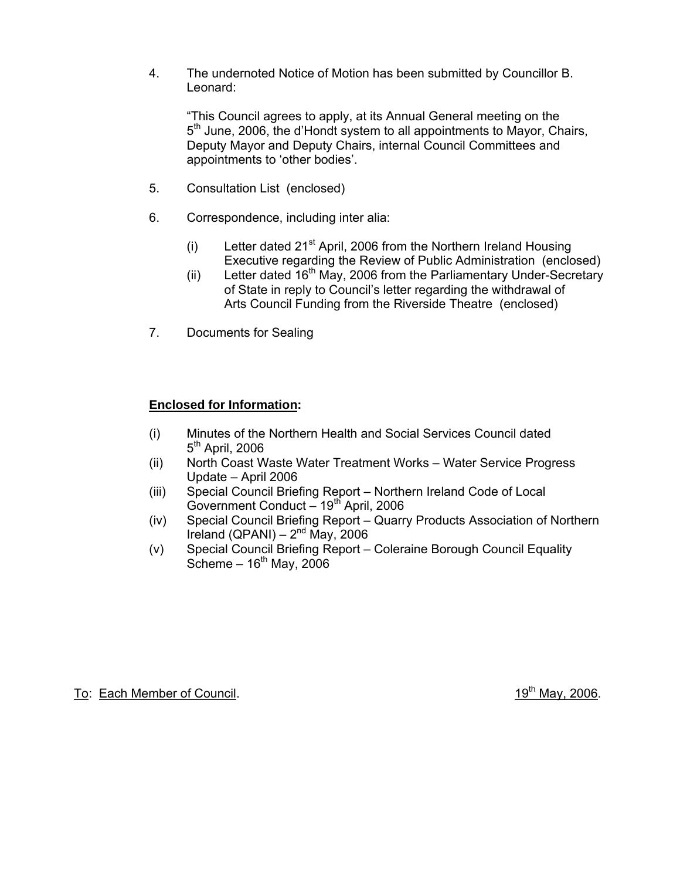4. The undernoted Notice of Motion has been submitted by Councillor B. Leonard:

 "This Council agrees to apply, at its Annual General meeting on the 5<sup>th</sup> June, 2006, the d'Hondt system to all appointments to Mayor, Chairs, Deputy Mayor and Deputy Chairs, internal Council Committees and appointments to 'other bodies'.

- 5. Consultation List (enclosed)
- 6. Correspondence, including inter alia:
	- (i) Letter dated  $21^{st}$  April, 2006 from the Northern Ireland Housing Executive regarding the Review of Public Administration (enclosed)
	- (ii) Letter dated  $16<sup>th</sup>$  May, 2006 from the Parliamentary Under-Secretary of State in reply to Council's letter regarding the withdrawal of Arts Council Funding from the Riverside Theatre (enclosed)
- 7. Documents for Sealing

## **Enclosed for Information:**

- (i) Minutes of the Northern Health and Social Services Council dated  $5<sup>th</sup>$  April, 2006
- (ii) North Coast Waste Water Treatment Works Water Service Progress Update – April 2006
- (iii) Special Council Briefing Report Northern Ireland Code of Local Government Conduct  $-19^{th}$  April, 2006
- (iv) Special Council Briefing Report Quarry Products Association of Northern Ireland (QPANI) –  $2^{nd}$  May, 2006
- (v) Special Council Briefing Report Coleraine Borough Council Equality Scheme –  $16<sup>th</sup>$  May, 2006

To: Each Member of Council. 19th May, 2006.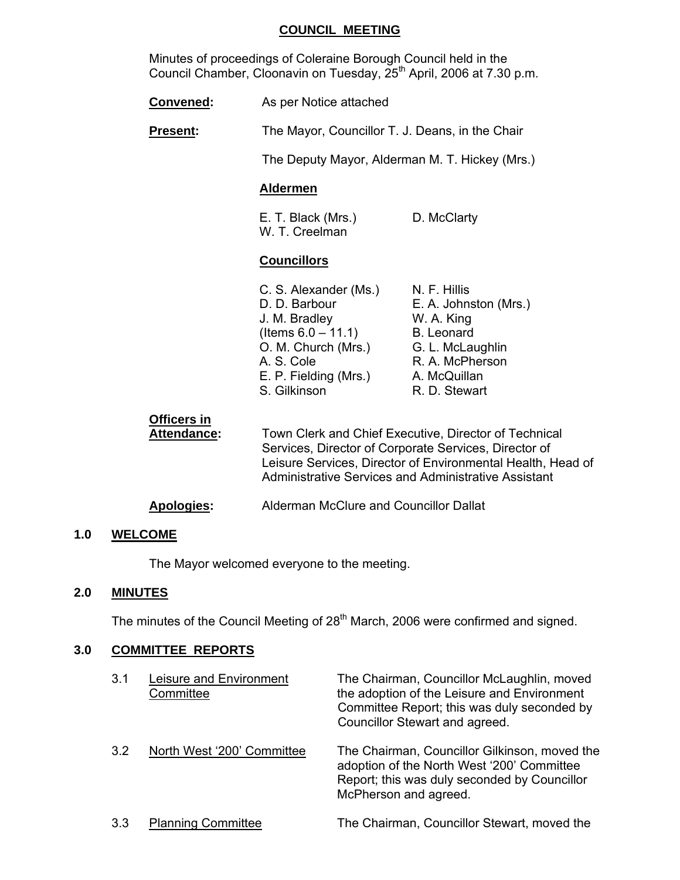## **COUNCIL MEETING**

 Minutes of proceedings of Coleraine Borough Council held in the Council Chamber, Cloonavin on Tuesday, 25<sup>th</sup> April, 2006 at 7.30 p.m.

| <b>Convened:</b>           | As per Notice attached                                                                                                                                                                                                                       |                                                                                                                                           |
|----------------------------|----------------------------------------------------------------------------------------------------------------------------------------------------------------------------------------------------------------------------------------------|-------------------------------------------------------------------------------------------------------------------------------------------|
| Present:                   | The Mayor, Councillor T. J. Deans, in the Chair                                                                                                                                                                                              |                                                                                                                                           |
|                            | The Deputy Mayor, Alderman M. T. Hickey (Mrs.)                                                                                                                                                                                               |                                                                                                                                           |
|                            | <b>Aldermen</b>                                                                                                                                                                                                                              |                                                                                                                                           |
|                            | E. T. Black (Mrs.)<br>W. T. Creelman                                                                                                                                                                                                         | D. McClarty                                                                                                                               |
|                            | <b>Councillors</b>                                                                                                                                                                                                                           |                                                                                                                                           |
|                            | C. S. Alexander (Ms.)<br>D. D. Barbour<br>J. M. Bradley<br>(Items $6.0 - 11.1$ )<br>O. M. Church (Mrs.)<br>A. S. Cole<br>E. P. Fielding (Mrs.)<br>S. Gilkinson                                                                               | N. F. Hillis<br>E. A. Johnston (Mrs.)<br>W. A. King<br>B. Leonard<br>G. L. McLaughlin<br>R. A. McPherson<br>A. McQuillan<br>R. D. Stewart |
| Officers in<br>Attendance: | Town Clerk and Chief Executive, Director of Technical<br>Services, Director of Corporate Services, Director of<br>Leisure Services, Director of Environmental Health, Head of<br><b>Administrative Services and Administrative Assistant</b> |                                                                                                                                           |

**Apologies:** Alderman McClure and Councillor Dallat

# **1.0 WELCOME**

The Mayor welcomed everyone to the meeting.

#### **2.0 MINUTES**

The minutes of the Council Meeting of 28<sup>th</sup> March, 2006 were confirmed and signed.

# **3.0 COMMITTEE REPORTS**

| 3.1 | Leisure and Environment<br>Committee | The Chairman, Councillor McLaughlin, moved<br>the adoption of the Leisure and Environment<br>Committee Report; this was duly seconded by<br>Councillor Stewart and agreed. |
|-----|--------------------------------------|----------------------------------------------------------------------------------------------------------------------------------------------------------------------------|
| 3.2 | North West '200' Committee           | The Chairman, Councillor Gilkinson, moved the<br>adoption of the North West '200' Committee<br>Report; this was duly seconded by Councillor<br>McPherson and agreed.       |
| 3.3 | <b>Planning Committee</b>            | The Chairman, Councillor Stewart, moved the                                                                                                                                |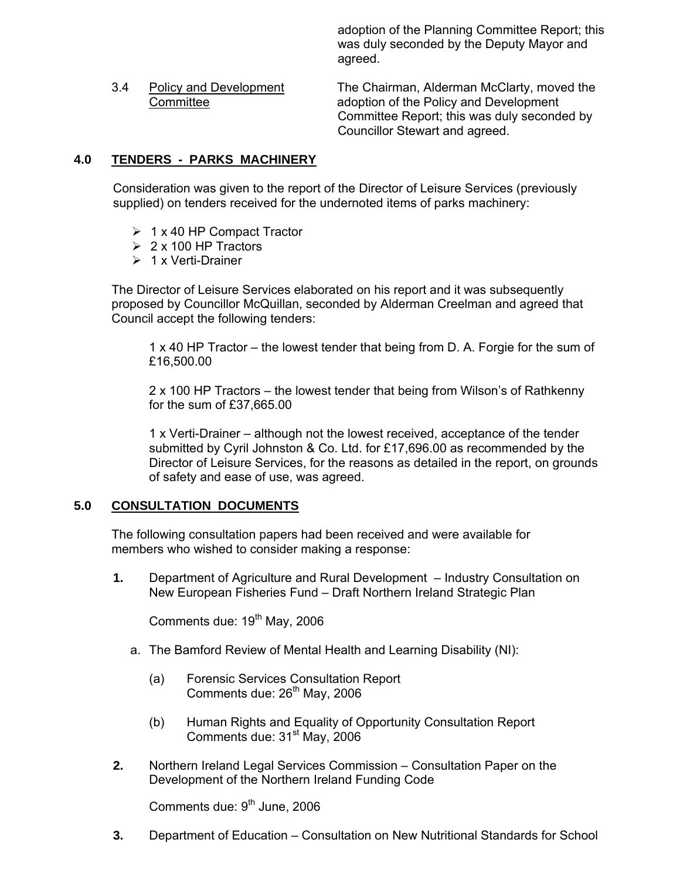adoption of the Planning Committee Report; this was duly seconded by the Deputy Mayor and agreed.

 3.4 Policy and Development The Chairman, Alderman McClarty, moved the Committee adoption of the Policy and Development Committee Report; this was duly seconded by Councillor Stewart and agreed.

# **4.0 TENDERS - PARKS MACHINERY**

Consideration was given to the report of the Director of Leisure Services (previously supplied) on tenders received for the undernoted items of parks machinery:

- $\geq 1$  x 40 HP Compact Tractor
- $\geq 2 \times 100$  HP Tractors
- $\geq 1$  x Verti-Drainer

The Director of Leisure Services elaborated on his report and it was subsequently proposed by Councillor McQuillan, seconded by Alderman Creelman and agreed that Council accept the following tenders:

 1 x 40 HP Tractor – the lowest tender that being from D. A. Forgie for the sum of £16,500.00

 2 x 100 HP Tractors – the lowest tender that being from Wilson's of Rathkenny for the sum of £37,665.00

 1 x Verti-Drainer – although not the lowest received, acceptance of the tender submitted by Cyril Johnston & Co. Ltd. for £17,696.00 as recommended by the Director of Leisure Services, for the reasons as detailed in the report, on grounds of safety and ease of use, was agreed.

## **5.0 CONSULTATION DOCUMENTS**

The following consultation papers had been received and were available for members who wished to consider making a response:

**1.** Department of Agriculture and Rural Development – Industry Consultation on New European Fisheries Fund – Draft Northern Ireland Strategic Plan

Comments due:  $19<sup>th</sup>$  May, 2006

- a. The Bamford Review of Mental Health and Learning Disability (NI):
	- (a) Forensic Services Consultation Report Comments due: 26<sup>th</sup> May, 2006
	- (b) Human Rights and Equality of Opportunity Consultation Report Comments due: 31<sup>st</sup> May, 2006
- **2.** Northern Ireland Legal Services Commission Consultation Paper on the Development of the Northern Ireland Funding Code

Comments due:  $9<sup>th</sup>$  June, 2006

**3.** Department of Education – Consultation on New Nutritional Standards for School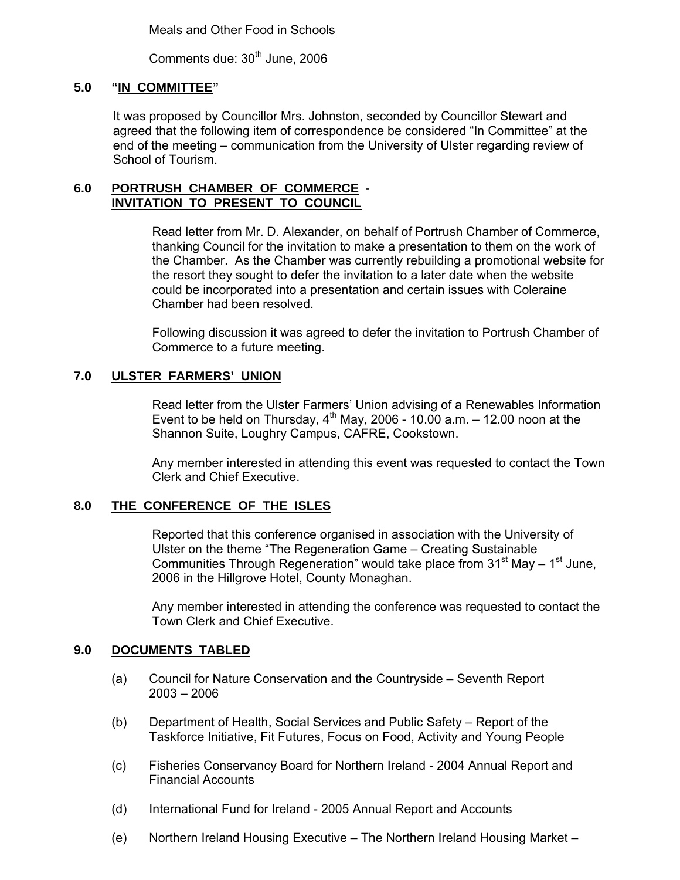Meals and Other Food in Schools

Comments due: 30<sup>th</sup> June, 2006

## **5.0 "IN COMMITTEE"**

It was proposed by Councillor Mrs. Johnston, seconded by Councillor Stewart and agreed that the following item of correspondence be considered "In Committee" at the end of the meeting – communication from the University of Ulster regarding review of School of Tourism.

#### **6.0 PORTRUSH CHAMBER OF COMMERCE - INVITATION TO PRESENT TO COUNCIL**

Read letter from Mr. D. Alexander, on behalf of Portrush Chamber of Commerce, thanking Council for the invitation to make a presentation to them on the work of the Chamber. As the Chamber was currently rebuilding a promotional website for the resort they sought to defer the invitation to a later date when the website could be incorporated into a presentation and certain issues with Coleraine Chamber had been resolved.

Following discussion it was agreed to defer the invitation to Portrush Chamber of Commerce to a future meeting.

## **7.0 ULSTER FARMERS' UNION**

Read letter from the Ulster Farmers' Union advising of a Renewables Information Event to be held on Thursday,  $4^{th}$  May, 2006 - 10.00 a.m.  $-$  12.00 noon at the Shannon Suite, Loughry Campus, CAFRE, Cookstown.

Any member interested in attending this event was requested to contact the Town Clerk and Chief Executive.

## **8.0 THE CONFERENCE OF THE ISLES**

Reported that this conference organised in association with the University of Ulster on the theme "The Regeneration Game – Creating Sustainable Communities Through Regeneration" would take place from  $31<sup>st</sup>$  May –  $1<sup>st</sup>$  June, 2006 in the Hillgrove Hotel, County Monaghan.

Any member interested in attending the conference was requested to contact the Town Clerk and Chief Executive.

## **9.0 DOCUMENTS TABLED**

- (a) Council for Nature Conservation and the Countryside Seventh Report 2003 – 2006
- (b) Department of Health, Social Services and Public Safety Report of the Taskforce Initiative, Fit Futures, Focus on Food, Activity and Young People
- (c) Fisheries Conservancy Board for Northern Ireland 2004 Annual Report and Financial Accounts
- (d) International Fund for Ireland 2005 Annual Report and Accounts
- (e) Northern Ireland Housing Executive The Northern Ireland Housing Market –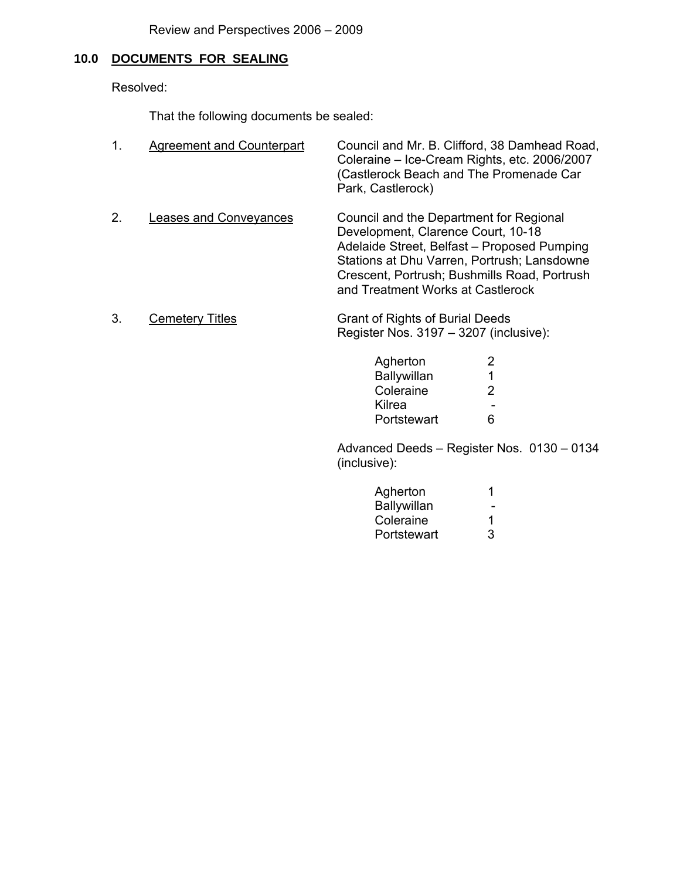# **10.0 DOCUMENTS FOR SEALING**

Resolved:

That the following documents be sealed:

|    | <b>Agreement and Counterpart</b> | Council and Mr. B. Clifford, 38 Damhead Road,<br>Coleraine - Ice-Cream Rights, etc. 2006/2007<br>(Castlerock Beach and The Promenade Car<br>Park, Castlerock)                                                                                                    |
|----|----------------------------------|------------------------------------------------------------------------------------------------------------------------------------------------------------------------------------------------------------------------------------------------------------------|
| 2. | Leases and Conveyances           | Council and the Department for Regional<br>Development, Clarence Court, 10-18<br>Adelaide Street, Belfast - Proposed Pumping<br>Stations at Dhu Varren, Portrush; Lansdowne<br>Crescent, Portrush; Bushmills Road, Portrush<br>and Treatment Works at Castlerock |

3. Cemetery Titles Grant of Rights of Burial Deeds Register Nos. 3197 – 3207 (inclusive):

| Agherton    | 2                        |
|-------------|--------------------------|
| Ballywillan | 1                        |
| Coleraine   | $\mathcal{P}$            |
| Kilrea      | $\overline{\phantom{0}}$ |
| Portstewart | 6                        |

 Advanced Deeds – Register Nos. 0130 – 0134 (inclusive):

| Agherton                                |  |
|-----------------------------------------|--|
| Ballywillan<br>$\overline{\phantom{0}}$ |  |
| Coleraine                               |  |
| Portstewart                             |  |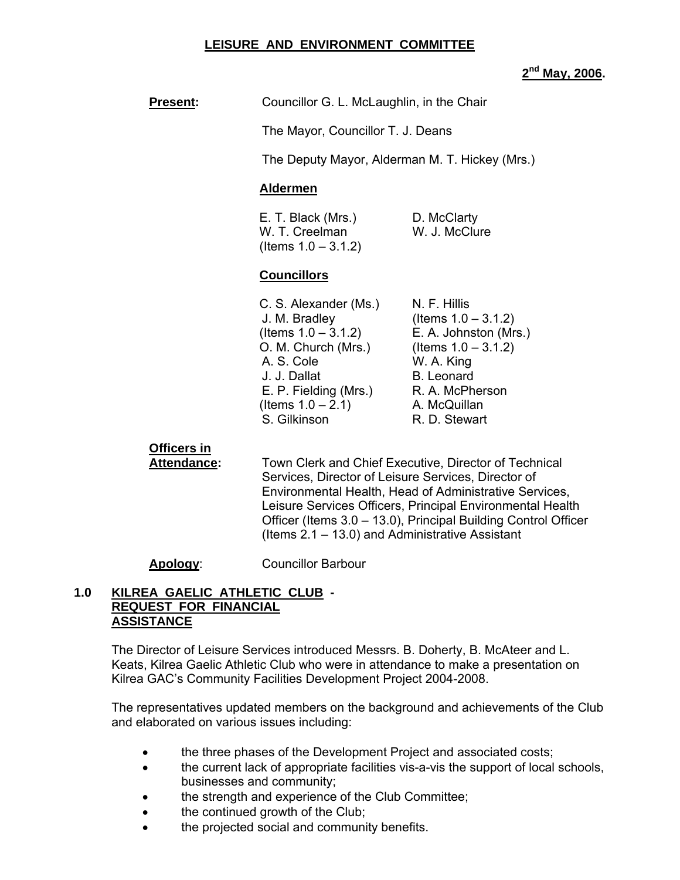## **LEISURE AND ENVIRONMENT COMMITTEE**

#### **2nd May, 2006.**

**Present:** Councillor G. L. McLaughlin, in the Chair

The Mayor, Councillor T. J. Deans

The Deputy Mayor, Alderman M. T. Hickey (Mrs.)

#### **Aldermen**

E. T. Black (Mrs.) D. McClarty W. T. Creelman W. J. McClure  $($  Items  $1.0 - 3.1.2)$ 

## **Councillors**

C. S. Alexander (Ms.) N. F. Hillis J. M. Bradley (Items 1.0 – 3.1.2)  $($  (Items  $1.0 - 3.1.2)$  E. A. Johnston (Mrs.) O. M. Church (Mrs.) (Items 1.0 – 3.1.2) A. S. Cole W. A. King J. J. Dallat B. Leonard E. P. Fielding (Mrs.) R. A. McPherson  $($ ltems  $1.0 - 2.1)$  A. McQuillan S. Gilkinson **R. D. Stewart** 

## **Officers in**

 **Attendance:** Town Clerk and Chief Executive, Director of Technical Services, Director of Leisure Services, Director of Environmental Health, Head of Administrative Services, Leisure Services Officers, Principal Environmental Health Officer (Items 3.0 – 13.0), Principal Building Control Officer (Items 2.1 – 13.0) and Administrative Assistant

## **Apology**: Councillor Barbour

## **1.0 KILREA GAELIC ATHLETIC CLUB - REQUEST FOR FINANCIAL ASSISTANCE**

 The Director of Leisure Services introduced Messrs. B. Doherty, B. McAteer and L. Keats, Kilrea Gaelic Athletic Club who were in attendance to make a presentation on Kilrea GAC's Community Facilities Development Project 2004-2008.

The representatives updated members on the background and achievements of the Club and elaborated on various issues including:

- the three phases of the Development Project and associated costs;
- the current lack of appropriate facilities vis-a-vis the support of local schools, businesses and community;
- the strength and experience of the Club Committee;
- the continued growth of the Club;
- the projected social and community benefits.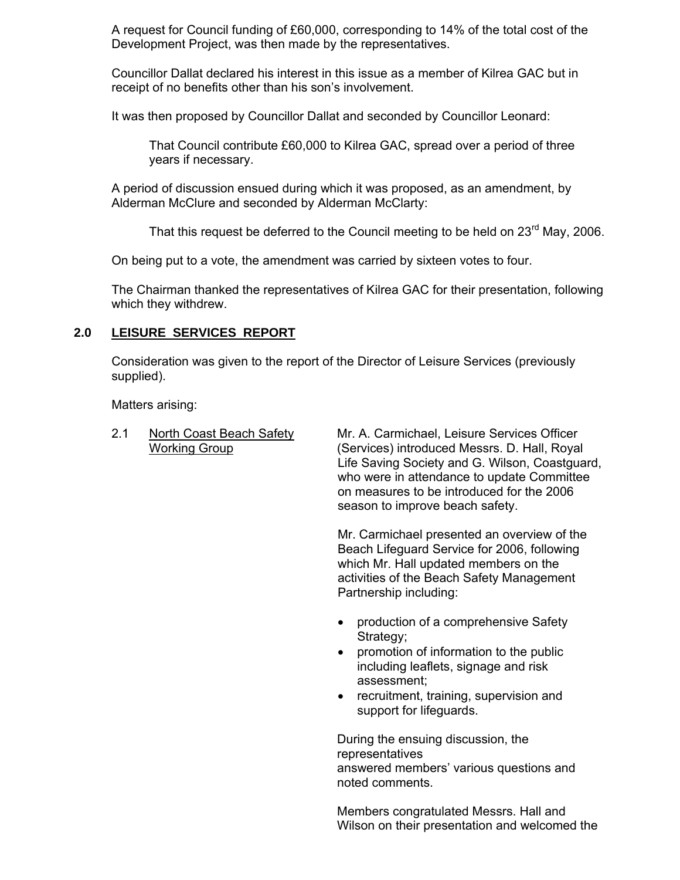A request for Council funding of £60,000, corresponding to 14% of the total cost of the Development Project, was then made by the representatives.

Councillor Dallat declared his interest in this issue as a member of Kilrea GAC but in receipt of no benefits other than his son's involvement.

It was then proposed by Councillor Dallat and seconded by Councillor Leonard:

 That Council contribute £60,000 to Kilrea GAC, spread over a period of three years if necessary.

A period of discussion ensued during which it was proposed, as an amendment, by Alderman McClure and seconded by Alderman McClarty:

That this request be deferred to the Council meeting to be held on  $23^{\text{rd}}$  May, 2006.

On being put to a vote, the amendment was carried by sixteen votes to four.

The Chairman thanked the representatives of Kilrea GAC for their presentation, following which they withdrew.

## **2.0 LEISURE SERVICES REPORT**

Consideration was given to the report of the Director of Leisure Services (previously supplied).

Matters arising:

2.1 North Coast Beach Safety Mr. A. Carmichael, Leisure Services Officer Working Group (Services) introduced Messrs. D. Hall, Royal Life Saving Society and G. Wilson, Coastguard, who were in attendance to update Committee on measures to be introduced for the 2006 season to improve beach safety.

> Mr. Carmichael presented an overview of the Beach Lifeguard Service for 2006, following which Mr. Hall updated members on the activities of the Beach Safety Management Partnership including:

- production of a comprehensive Safety Strategy;
- promotion of information to the public including leaflets, signage and risk assessment;
- recruitment, training, supervision and support for lifeguards.

During the ensuing discussion, the representatives answered members' various questions and noted comments.

Members congratulated Messrs. Hall and Wilson on their presentation and welcomed the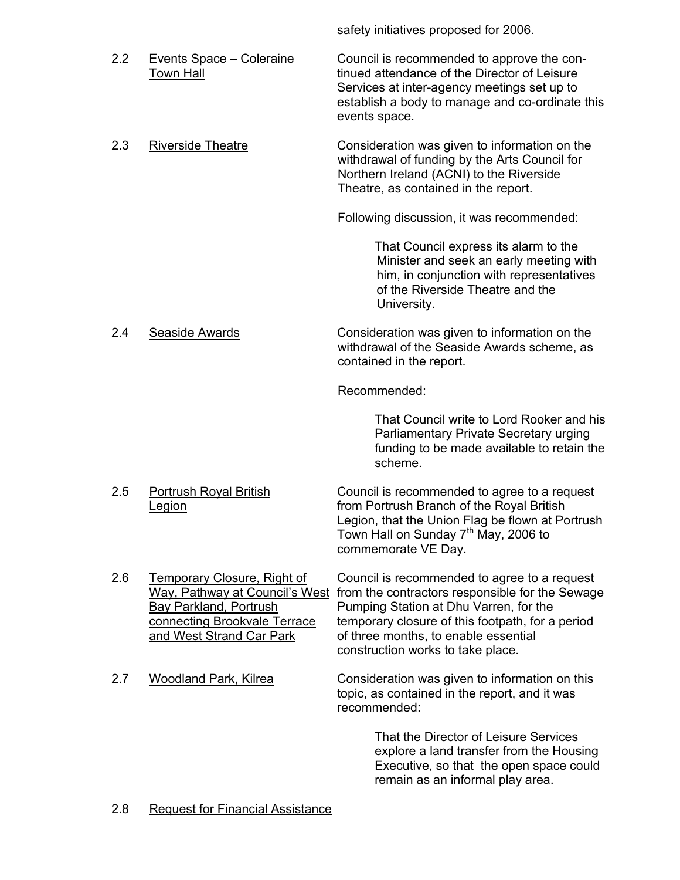safety initiatives proposed for 2006.

2.2 Events Space – Coleraine Council is recommended to approve the con- Town Hall **The Communist Example 2** tinued attendance of the Director of Leisure Services at inter-agency meetings set up to establish a body to manage and co-ordinate this events space. 2.3 Riverside Theatre **Consideration was given to information on the** withdrawal of funding by the Arts Council for Northern Ireland (ACNI) to the Riverside Theatre, as contained in the report. Following discussion, it was recommended: That Council express its alarm to the Minister and seek an early meeting with him, in conjunction with representatives of the Riverside Theatre and the University. 2.4 Seaside Awards Consideration was given to information on the withdrawal of the Seaside Awards scheme, as contained in the report. Recommended: That Council write to Lord Rooker and his Parliamentary Private Secretary urging funding to be made available to retain the scheme. 2.5 Portrush Royal British Council is recommended to agree to a request Legion **Example 2** From Portrush Branch of the Royal British Legion, that the Union Flag be flown at Portrush Town Hall on Sunday 7<sup>th</sup> May, 2006 to commemorate VE Day. 2.6 Temporary Closure, Right of Council is recommended to agree to a request Way, Pathway at Council's West from the contractors responsible for the Sewage Bay Parkland. Portrush<br>Bay Parkland. Portrush<br>Pumping Station at Dhu Varren, for the Pumping Station at Dhu Varren, for the connecting Brookvale Terrace temporary closure of this footpath, for a period and West Strand Car Park of three months, to enable essential construction works to take place. 2.7 Woodland Park, Kilrea Consideration was given to information on this topic, as contained in the report, and it was recommended:

That the Director of Leisure Services explore a land transfer from the Housing Executive, so that the open space could remain as an informal play area.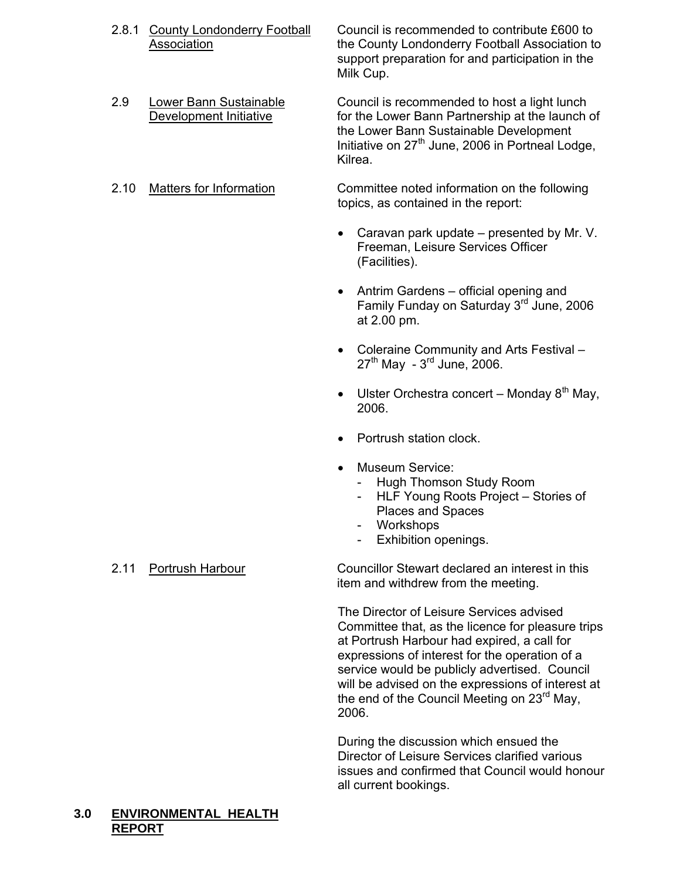- 2.8.1 County Londonderry Football Council is recommended to contribute £600 to Association the County Londonderry Football Association to support preparation for and participation in the Milk Cup.
- 2.9 Lower Bann Sustainable Council is recommended to host a light lunch Development Initiative for the Lower Bann Partnership at the launch of the Lower Bann Sustainable Development Initiative on  $27<sup>th</sup>$  June, 2006 in Portneal Lodge,

Kilrea.

2.10 Matters for Information Committee noted information on the following topics, as contained in the report:

- Caravan park update presented by Mr. V. Freeman, Leisure Services Officer (Facilities).
- Antrim Gardens official opening and Family Funday on Saturday 3rd June, 2006 at 2.00 pm.
- Coleraine Community and Arts Festival  $27<sup>th</sup>$  May -  $3<sup>rd</sup>$  June, 2006.
- Ulster Orchestra concert Monday  $8<sup>th</sup>$  May, 2006.
- Portrush station clock.
- Museum Service:
	- Hugh Thomson Study Room
	- HLF Young Roots Project Stories of Places and Spaces
	- Workshops
	- Exhibition openings.

2.11 Portrush Harbour Councillor Stewart declared an interest in this item and withdrew from the meeting.

> The Director of Leisure Services advised Committee that, as the licence for pleasure trips at Portrush Harbour had expired, a call for expressions of interest for the operation of a service would be publicly advertised. Council will be advised on the expressions of interest at the end of the Council Meeting on 23<sup>rd</sup> May. 2006.

> During the discussion which ensued the Director of Leisure Services clarified various issues and confirmed that Council would honour all current bookings.

# **3.0 ENVIRONMENTAL HEALTH REPORT**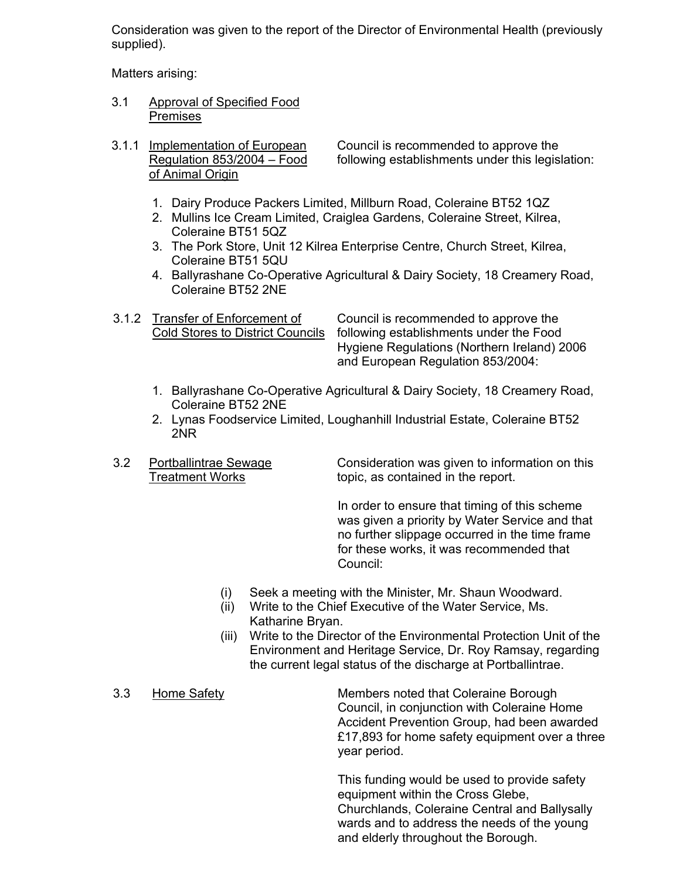Consideration was given to the report of the Director of Environmental Health (previously supplied).

Matters arising:

- 3.1 Approval of Specified Food Premises
- of Animal Origin

3.1.1 Implementation of European Council is recommended to approve the Regulation 853/2004 – Food following establishments under this legislation:

- 1. Dairy Produce Packers Limited, Millburn Road, Coleraine BT52 1QZ
- 2. Mullins Ice Cream Limited, Craiglea Gardens, Coleraine Street, Kilrea, Coleraine BT51 5QZ
- 3. The Pork Store, Unit 12 Kilrea Enterprise Centre, Church Street, Kilrea, Coleraine BT51 5QU
- 4. Ballyrashane Co-Operative Agricultural & Dairy Society, 18 Creamery Road, Coleraine BT52 2NE
- 

 3.1.2 Transfer of Enforcement of Council is recommended to approve the Cold Stores to District Councils following establishments under the Food Hygiene Regulations (Northern Ireland) 2006 and European Regulation 853/2004:

- 1. Ballyrashane Co-Operative Agricultural & Dairy Society, 18 Creamery Road, Coleraine BT52 2NE
- 2. Lynas Foodservice Limited, Loughanhill Industrial Estate, Coleraine BT52 2NR
- 

 3.2 Portballintrae Sewage Consideration was given to information on this Treatment Works topic, as contained in the report.

> In order to ensure that timing of this scheme was given a priority by Water Service and that no further slippage occurred in the time frame for these works, it was recommended that Council:

- (i) Seek a meeting with the Minister, Mr. Shaun Woodward.
- (ii) Write to the Chief Executive of the Water Service, Ms. Katharine Bryan.
- (iii) Write to the Director of the Environmental Protection Unit of the Environment and Heritage Service, Dr. Roy Ramsay, regarding the current legal status of the discharge at Portballintrae.
- 

 3.3 Home Safety Members noted that Coleraine Borough Council, in conjunction with Coleraine Home Accident Prevention Group, had been awarded £17,893 for home safety equipment over a three year period.

> This funding would be used to provide safety equipment within the Cross Glebe, Churchlands, Coleraine Central and Ballysally wards and to address the needs of the young and elderly throughout the Borough.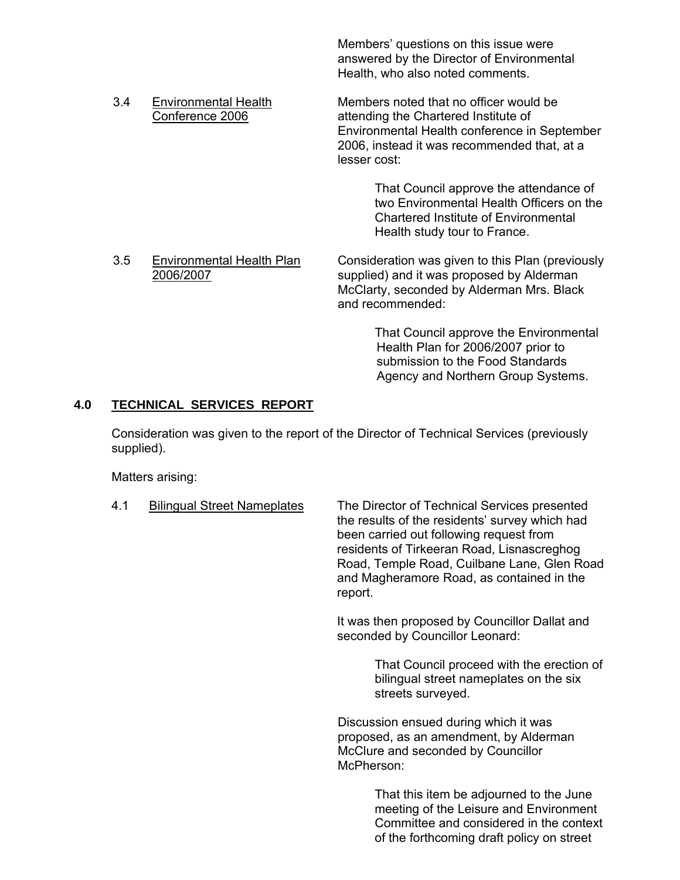Members' questions on this issue were answered by the Director of Environmental Health, who also noted comments.

 3.4 Environmental Health Members noted that no officer would be Conference 2006 attending the Chartered Institute of Environmental Health conference in September 2006, instead it was recommended that, at a

lesser cost:

 That Council approve the attendance of two Environmental Health Officers on the Chartered Institute of Environmental Health study tour to France.

3.5 Environmental Health Plan Consideration was given to this Plan (previously 2006/2007 supplied) and it was proposed by Alderman McClarty, seconded by Alderman Mrs. Black and recommended:

> That Council approve the Environmental Health Plan for 2006/2007 prior to submission to the Food Standards Agency and Northern Group Systems.

## **4.0 TECHNICAL SERVICES REPORT**

Consideration was given to the report of the Director of Technical Services (previously supplied).

Matters arising:

| 4.1 | <b>Bilingual Street Nameplates</b> | The Director of Technical Services presented<br>the results of the residents' survey which had<br>been carried out following request from<br>residents of Tirkeeran Road, Lisnascreghog<br>Road, Temple Road, Cuilbane Lane, Glen Road<br>and Magheramore Road, as contained in the<br>report. |
|-----|------------------------------------|------------------------------------------------------------------------------------------------------------------------------------------------------------------------------------------------------------------------------------------------------------------------------------------------|
|     |                                    | It was then proposed by Councillor Dallat and<br>seconded by Councillor Leonard:                                                                                                                                                                                                               |
|     |                                    | That Council proceed with the erection of<br>bilingual street nameplates on the six<br>streets surveyed.                                                                                                                                                                                       |
|     |                                    | Discussion ensued during which it was<br>proposed, as an amendment, by Alderman<br>McClure and seconded by Councillor<br>McPherson:                                                                                                                                                            |
|     |                                    | That this item be adjourned to the June<br>meeting of the Leisure and Environment                                                                                                                                                                                                              |

Committee and considered in the context of the forthcoming draft policy on street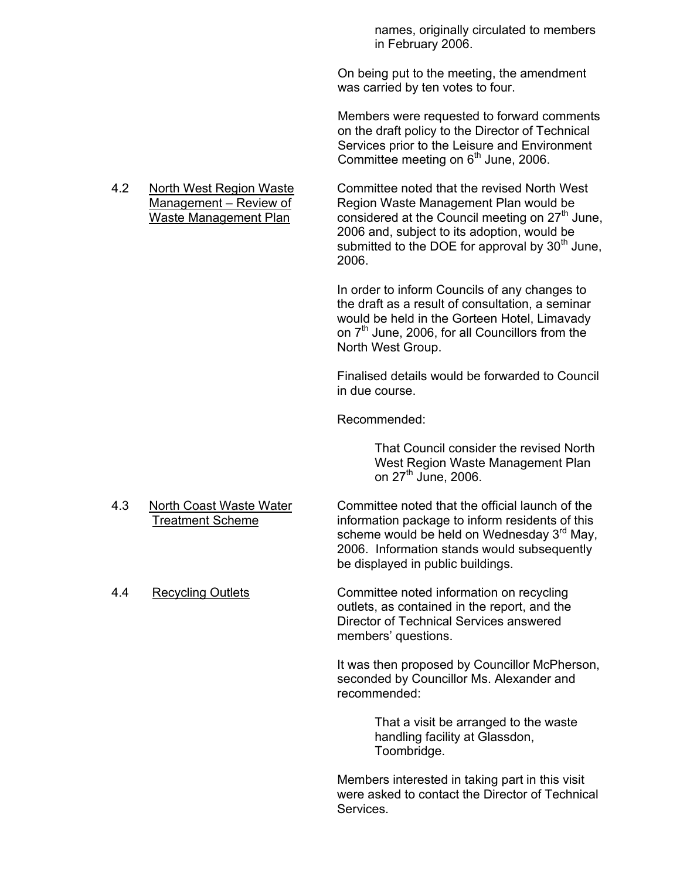names, originally circulated to members in February 2006.

On being put to the meeting, the amendment was carried by ten votes to four.

Members were requested to forward comments on the draft policy to the Director of Technical Services prior to the Leisure and Environment Committee meeting on  $6<sup>th</sup>$  June, 2006.

4.2 North West Region Waste Committee noted that the revised North West

 Management – Review of Region Waste Management Plan would be Waste Management Plan considered at the Council meeting on  $27<sup>th</sup>$  June, 2006 and, subject to its adoption, would be submitted to the DOE for approval by  $30<sup>th</sup>$  June, 2006.

> In order to inform Councils of any changes to the draft as a result of consultation, a seminar would be held in the Gorteen Hotel, Limavady on 7<sup>th</sup> June, 2006, for all Councillors from the North West Group.

Finalised details would be forwarded to Council in due course.

Recommended:

 That Council consider the revised North West Region Waste Management Plan on  $27<sup>th</sup>$  June, 2006.

- 4.3 North Coast Waste Water Committee noted that the official launch of the Treatment Scheme information package to inform residents of this
- 

scheme would be held on Wednesday  $3<sup>rd</sup>$  May, 2006. Information stands would subsequently be displayed in public buildings.

4.4 Recycling Outlets Committee noted information on recycling outlets, as contained in the report, and the Director of Technical Services answered members' questions.

> It was then proposed by Councillor McPherson, seconded by Councillor Ms. Alexander and recommended:

> > That a visit be arranged to the waste handling facility at Glassdon, Toombridge.

 Members interested in taking part in this visit were asked to contact the Director of Technical Services.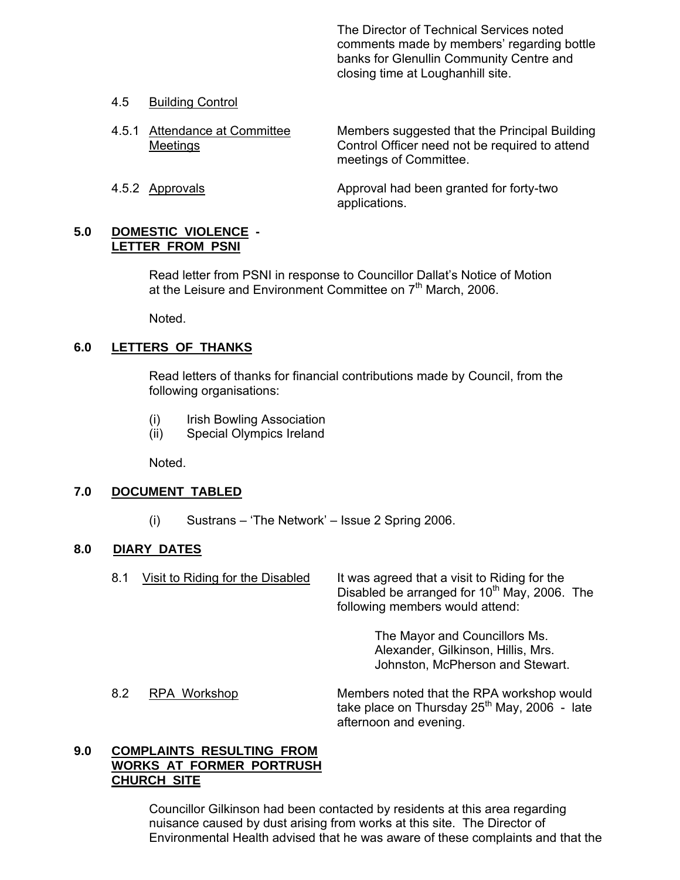The Director of Technical Services noted comments made by members' regarding bottle banks for Glenullin Community Centre and closing time at Loughanhill site.

## 4.5 Building Control

- 4.5.1 Attendance at Committee Members suggested that the Principal Building Meetings Control Officer need not be required to attend meetings of Committee.
- 4.5.2 Approvals Approval had been granted for forty-two applications.

#### **5.0 DOMESTIC VIOLENCE - LETTER FROM PSNI**

Read letter from PSNI in response to Councillor Dallat's Notice of Motion at the Leisure and Environment Committee on 7<sup>th</sup> March, 2006.

Noted.

## **6.0 LETTERS OF THANKS**

Read letters of thanks for financial contributions made by Council, from the following organisations:

- (i) Irish Bowling Association
- (ii) Special Olympics Ireland

Noted.

## **7.0 DOCUMENT TABLED**

(i) Sustrans – 'The Network' – Issue 2 Spring 2006.

## **8.0 DIARY DATES**

8.1 Visit to Riding for the Disabled It was agreed that a visit to Riding for the Disabled be arranged for  $10<sup>th</sup>$  May, 2006. The following members would attend:

> The Mayor and Councillors Ms. Alexander, Gilkinson, Hillis, Mrs. Johnston, McPherson and Stewart.

8.2 RPA Workshop Members noted that the RPA workshop would take place on Thursday  $25<sup>th</sup>$  May, 2006 - late afternoon and evening.

## **9.0 COMPLAINTS RESULTING FROM WORKS AT FORMER PORTRUSH CHURCH SITE**

 Councillor Gilkinson had been contacted by residents at this area regarding nuisance caused by dust arising from works at this site. The Director of Environmental Health advised that he was aware of these complaints and that the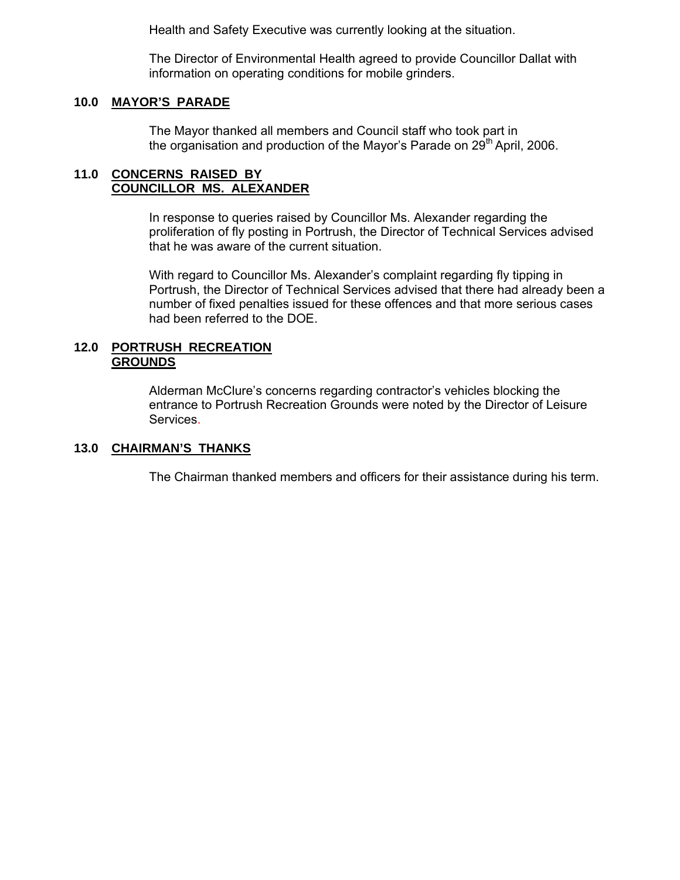Health and Safety Executive was currently looking at the situation.

The Director of Environmental Health agreed to provide Councillor Dallat with information on operating conditions for mobile grinders.

## **10.0 MAYOR'S PARADE**

The Mayor thanked all members and Council staff who took part in the organisation and production of the Mayor's Parade on  $29<sup>th</sup>$  April, 2006.

## **11.0 CONCERNS RAISED BY COUNCILLOR MS. ALEXANDER**

In response to queries raised by Councillor Ms. Alexander regarding the proliferation of fly posting in Portrush, the Director of Technical Services advised that he was aware of the current situation.

With regard to Councillor Ms. Alexander's complaint regarding fly tipping in Portrush, the Director of Technical Services advised that there had already been a number of fixed penalties issued for these offences and that more serious cases had been referred to the DOE.

#### **12.0 PORTRUSH RECREATION GROUNDS**

 Alderman McClure's concerns regarding contractor's vehicles blocking the entrance to Portrush Recreation Grounds were noted by the Director of Leisure Services.

# **13.0 CHAIRMAN'S THANKS**

The Chairman thanked members and officers for their assistance during his term.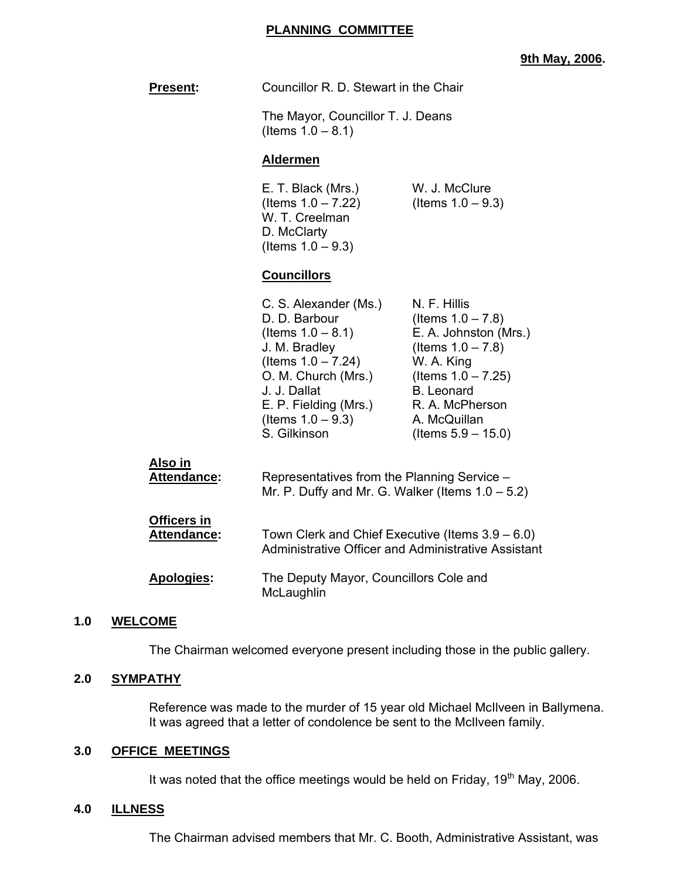## **9th May, 2006.**

|     | <b>Present:</b>                   | Councillor R. D. Stewart in the Chair                                                                                                                                                                            |                                                                                                                                                                                                               |
|-----|-----------------------------------|------------------------------------------------------------------------------------------------------------------------------------------------------------------------------------------------------------------|---------------------------------------------------------------------------------------------------------------------------------------------------------------------------------------------------------------|
|     |                                   | The Mayor, Councillor T. J. Deans<br>(Items $1.0 - 8.1$ )                                                                                                                                                        |                                                                                                                                                                                                               |
|     |                                   | <b>Aldermen</b>                                                                                                                                                                                                  |                                                                                                                                                                                                               |
|     |                                   | E. T. Black (Mrs.)<br>(Items $1.0 - 7.22$ )<br>W. T. Creelman<br>D. McClarty<br>(Items $1.0 - 9.3$ )                                                                                                             | W. J. McClure<br>(Items $1.0 - 9.3$ )                                                                                                                                                                         |
|     |                                   | <b>Councillors</b>                                                                                                                                                                                               |                                                                                                                                                                                                               |
|     |                                   | C. S. Alexander (Ms.)<br>D. D. Barbour<br>(Items $1.0 - 8.1$ )<br>J. M. Bradley<br>(Items $1.0 - 7.24$ )<br>O. M. Church (Mrs.)<br>J. J. Dallat<br>E. P. Fielding (Mrs.)<br>(Items $1.0 - 9.3$ )<br>S. Gilkinson | N. F. Hillis<br>(Items $1.0 - 7.8$ )<br>E. A. Johnston (Mrs.)<br>(Items $1.0 - 7.8$ )<br>W. A. King<br>(Items $1.0 - 7.25$ )<br><b>B.</b> Leonard<br>R. A. McPherson<br>A. McQuillan<br>(Items $5.9 - 15.0$ ) |
|     | Also in<br>Attendance:            | Representatives from the Planning Service -<br>Mr. P. Duffy and Mr. G. Walker (Items $1.0 - 5.2$ )                                                                                                               |                                                                                                                                                                                                               |
|     | <b>Officers in</b><br>Attendance: | Town Clerk and Chief Executive (Items 3.9 - 6.0)<br>Administrative Officer and Administrative Assistant                                                                                                          |                                                                                                                                                                                                               |
|     | <b>Apologies:</b>                 | The Deputy Mayor, Councillors Cole and<br>McLaughlin                                                                                                                                                             |                                                                                                                                                                                                               |
| 1.0 | <b>WELCOME</b>                    |                                                                                                                                                                                                                  |                                                                                                                                                                                                               |

The Chairman welcomed everyone present including those in the public gallery.

## **2.0 SYMPATHY**

**1.0 WELCOME**

 Reference was made to the murder of 15 year old Michael McIlveen in Ballymena. It was agreed that a letter of condolence be sent to the McIlveen family.

## **3.0 OFFICE MEETINGS**

It was noted that the office meetings would be held on Friday, 19<sup>th</sup> May, 2006.

# **4.0 ILLNESS**

The Chairman advised members that Mr. C. Booth, Administrative Assistant, was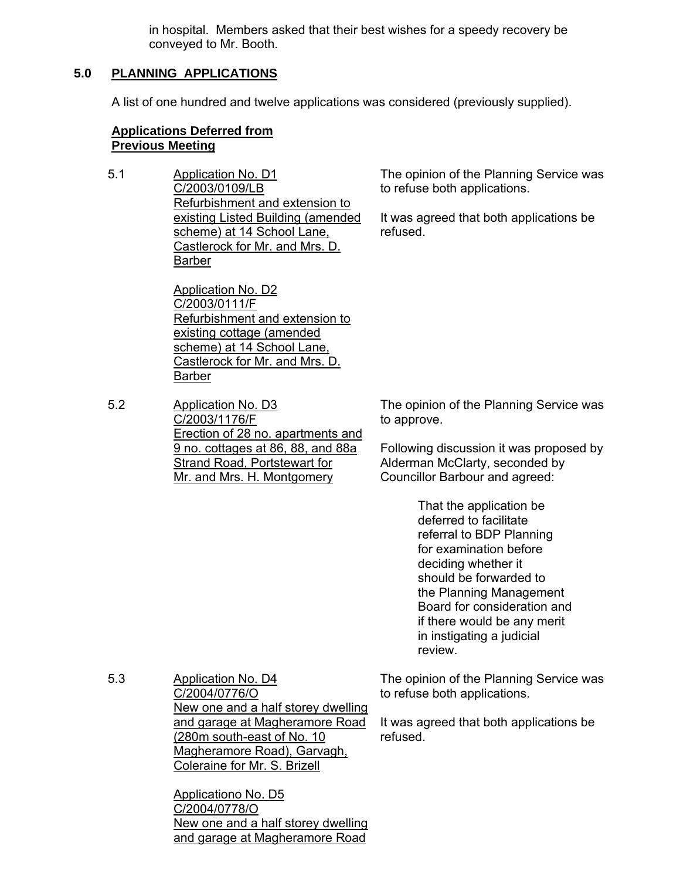in hospital. Members asked that their best wishes for a speedy recovery be conveyed to Mr. Booth.

# **5.0 PLANNING APPLICATIONS**

A list of one hundred and twelve applications was considered (previously supplied).

## **Applications Deferred from Previous Meeting**

5.1 Application No. D1 C/2003/0109/LB Refurbishment and extension to existing Listed Building (amended scheme) at 14 School Lane, Castlerock for Mr. and Mrs. D. Barber

> Application No. D2 C/2003/0111/F Refurbishment and extension to existing cottage (amended scheme) at 14 School Lane, Castlerock for Mr. and Mrs. D. Barber

5.2 Application No. D3 C/2003/1176/F Erection of 28 no. apartments and 9 no. cottages at 86, 88, and 88a Strand Road, Portstewart for Mr. and Mrs. H. Montgomery

The opinion of the Planning Service was to refuse both applications.

It was agreed that both applications be refused.

The opinion of the Planning Service was to approve.

Following discussion it was proposed by Alderman McClarty, seconded by Councillor Barbour and agreed:

> That the application be deferred to facilitate referral to BDP Planning for examination before deciding whether it should be forwarded to the Planning Management Board for consideration and if there would be any merit in instigating a judicial review.

5.3 Application No. D4 C/2004/0776/O New one and a half storey dwelling and garage at Magheramore Road (280m south-east of No. 10 Magheramore Road), Garvagh, Coleraine for Mr. S. Brizell

> Applicationo No. D5 C/2004/0778/O New one and a half storey dwelling and garage at Magheramore Road

The opinion of the Planning Service was to refuse both applications.

It was agreed that both applications be refused.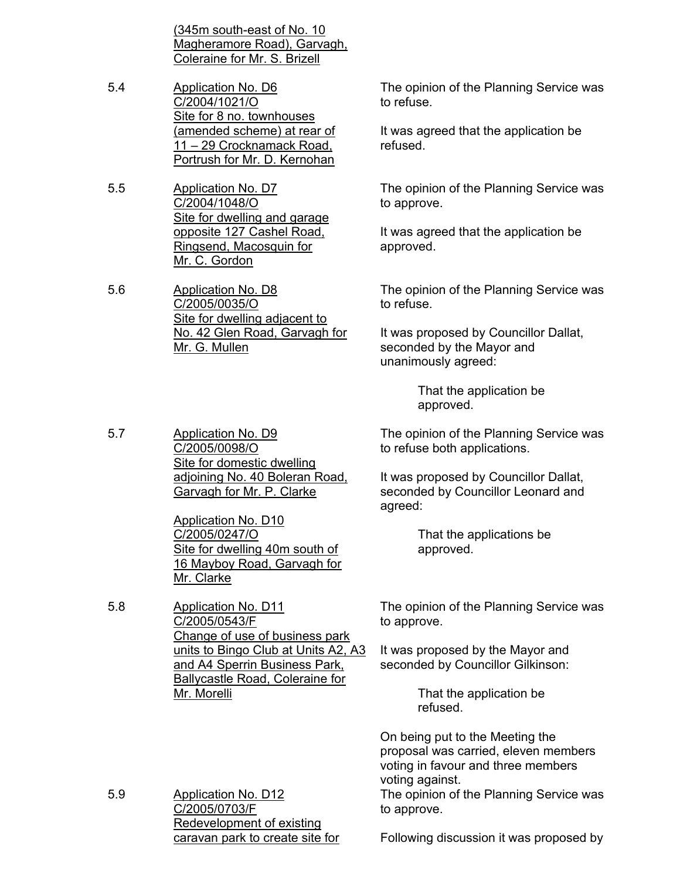(345m south-east of No. 10 Magheramore Road), Garvagh, Coleraine for Mr. S. Brizell

- 5.4 Application No. D6 C/2004/1021/O Site for 8 no. townhouses (amended scheme) at rear of 11 – 29 Crocknamack Road, Portrush for Mr. D. Kernohan
- 5.5 Application No. D7 C/2004/1048/O Site for dwelling and garage opposite 127 Cashel Road, Ringsend, Macosquin for Mr. C. Gordon

5.6 Application No. D8 C/2005/0035/O Site for dwelling adjacent to No. 42 Glen Road, Garvagh for Mr. G. Mullen

C/2005/0098/O

Site for domestic dwelling adjoining No. 40 Boleran Road, Garvagh for Mr. P. Clarke

Site for dwelling 40m south of 16 Mayboy Road, Garvagh for

Change of use of business park units to Bingo Club at Units A2, A3 and A4 Sperrin Business Park, Ballycastle Road, Coleraine for

Application No. D10 C/2005/0247/O

Mr. Clarke

Mr. Morelli

C/2005/0543/F

The opinion of the Planning Service was to refuse.

It was agreed that the application be refused.

The opinion of the Planning Service was to approve.

It was agreed that the application be approved.

The opinion of the Planning Service was to refuse.

It was proposed by Councillor Dallat, seconded by the Mayor and unanimously agreed:

> That the application be approved.

The opinion of the Planning Service was to refuse both applications.

It was proposed by Councillor Dallat, seconded by Councillor Leonard and agreed:

> That the applications be approved.

The opinion of the Planning Service was to approve.

It was proposed by the Mayor and seconded by Councillor Gilkinson:

> That the application be refused.

On being put to the Meeting the proposal was carried, eleven members voting in favour and three members voting against.

The opinion of the Planning Service was to approve.

5.9 Application No. D12 C/2005/0703/F Redevelopment of existing caravan park to create site for

Following discussion it was proposed by

5.7 Application No. D9

5.8 Application No. D11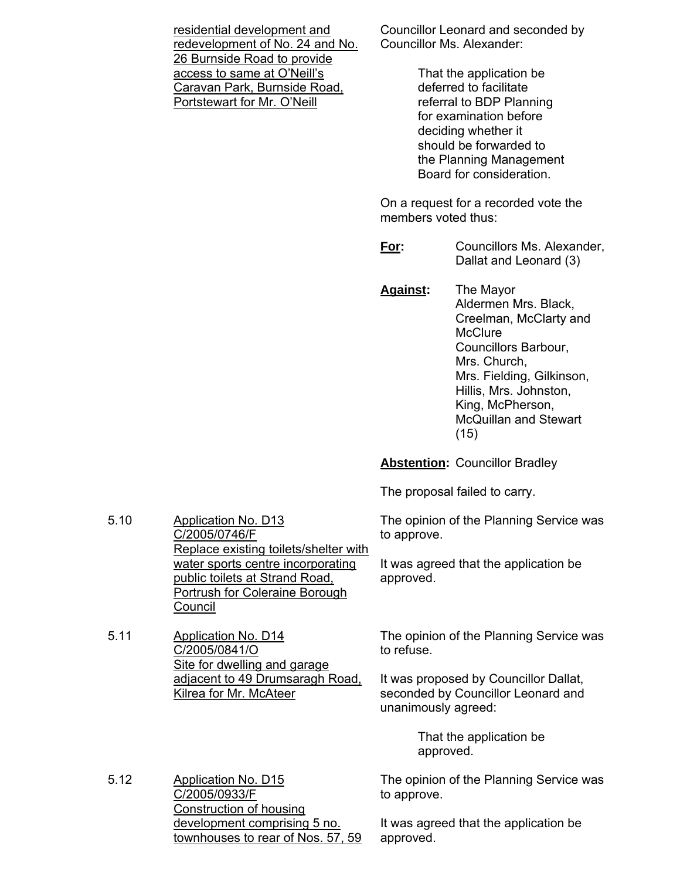residential development and redevelopment of No. 24 and No. 26 Burnside Road to provide access to same at O'Neill's Caravan Park, Burnside Road, Portstewart for Mr. O'Neill

Councillor Leonard and seconded by Councillor Ms. Alexander:

> That the application be deferred to facilitate referral to BDP Planning for examination before deciding whether it should be forwarded to the Planning Management Board for consideration.

On a request for a recorded vote the members voted thus:

**For:** Councillors Ms. Alexander, Dallat and Leonard (3)

**Against:** The Mayor Aldermen Mrs. Black, Creelman, McClarty and **McClure**  Councillors Barbour, Mrs. Church, Mrs. Fielding, Gilkinson, Hillis, Mrs. Johnston, King, McPherson, McQuillan and Stewart (15)

**Abstention:** Councillor Bradley

The proposal failed to carry.

The opinion of the Planning Service was to approve.

It was agreed that the application be approved.

The opinion of the Planning Service was to refuse.

It was proposed by Councillor Dallat, seconded by Councillor Leonard and unanimously agreed:

> That the application be approved.

The opinion of the Planning Service was to approve.

It was agreed that the application be approved.

5.10 Application No. D13 C/2005/0746/F Replace existing toilets/shelter with water sports centre incorporating public toilets at Strand Road, Portrush for Coleraine Borough Council

5.11 Application No. D14 C/2005/0841/O Site for dwelling and garage adjacent to 49 Drumsaragh Road, Kilrea for Mr. McAteer

5.12 Application No. D15 C/2005/0933/F Construction of housing development comprising 5 no. townhouses to rear of Nos. 57, 59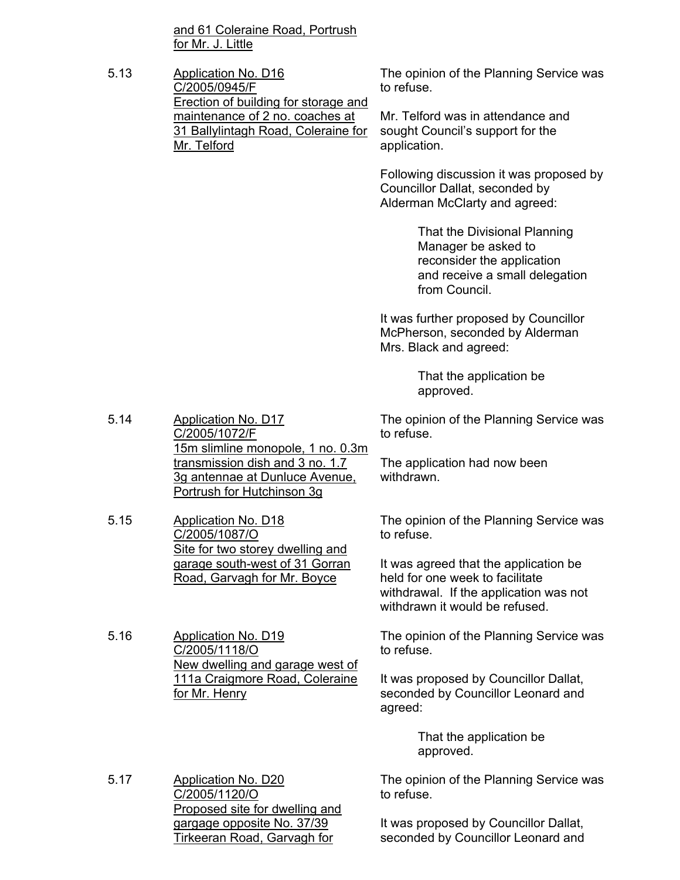and 61 Coleraine Road, Portrush for Mr. J. Little

5.13 Application No. D16 C/2005/0945/F Erection of building for storage and maintenance of 2 no. coaches at 31 Ballylintagh Road, Coleraine for Mr. Telford to refuse. application.

The opinion of the Planning Service was

Mr. Telford was in attendance and sought Council's support for the

Following discussion it was proposed by Councillor Dallat, seconded by Alderman McClarty and agreed:

> That the Divisional Planning Manager be asked to reconsider the application and receive a small delegation from Council.

It was further proposed by Councillor McPherson, seconded by Alderman Mrs. Black and agreed:

> That the application be approved.

The opinion of the Planning Service was to refuse.

The application had now been withdrawn.

The opinion of the Planning Service was to refuse.

It was agreed that the application be held for one week to facilitate withdrawal. If the application was not withdrawn it would be refused.

The opinion of the Planning Service was to refuse.

It was proposed by Councillor Dallat, seconded by Councillor Leonard and agreed:

> That the application be approved.

The opinion of the Planning Service was to refuse.

It was proposed by Councillor Dallat, seconded by Councillor Leonard and

5.14 Application No. D17 C/2005/1072/F 15m slimline monopole, 1 no. 0.3m transmission dish and 3 no. 1.7 3g antennae at Dunluce Avenue, Portrush for Hutchinson 3g

5.15 Application No. D18 C/2005/1087/O Site for two storey dwelling and garage south-west of 31 Gorran Road, Garvagh for Mr. Boyce

5.16 Application No. D19 C/2005/1118/O New dwelling and garage west of 111a Craigmore Road, Coleraine for Mr. Henry

5.17 Application No. D20 C/2005/1120/O Proposed site for dwelling and gargage opposite No. 37/39 Tirkeeran Road, Garvagh for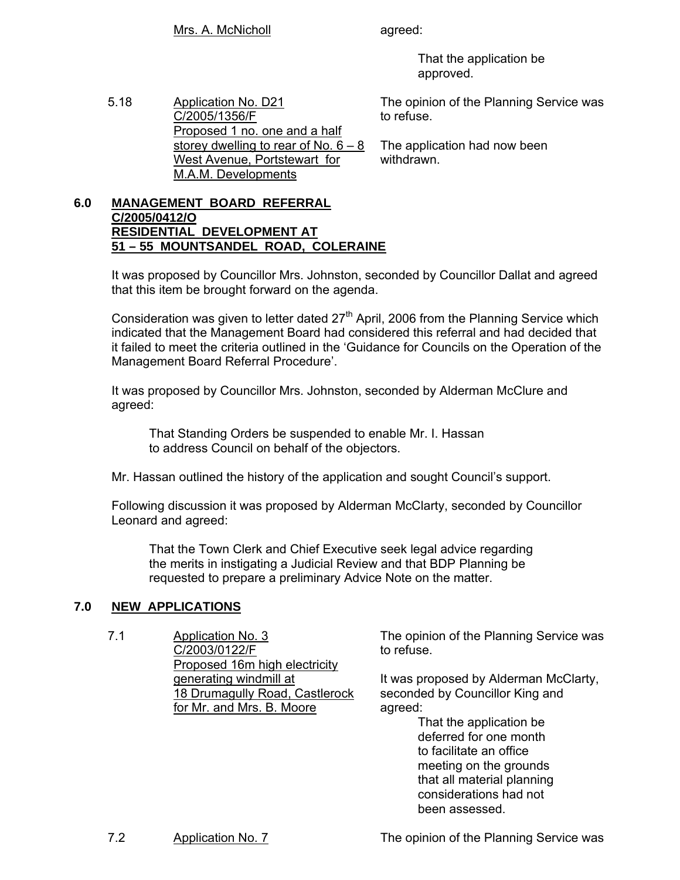That the application be approved.

5.18 Application No. D21 C/2005/1356/F Proposed 1 no. one and a half storey dwelling to rear of No. 6 – 8 West Avenue, Portstewart for M.A.M. Developments

The opinion of the Planning Service was to refuse.

The application had now been withdrawn.

## **6.0 MANAGEMENT BOARD REFERRAL C/2005/0412/O RESIDENTIAL DEVELOPMENT AT 51 – 55 MOUNTSANDEL ROAD, COLERAINE**

 It was proposed by Councillor Mrs. Johnston, seconded by Councillor Dallat and agreed that this item be brought forward on the agenda.

Consideration was given to letter dated  $27<sup>th</sup>$  April, 2006 from the Planning Service which indicated that the Management Board had considered this referral and had decided that it failed to meet the criteria outlined in the 'Guidance for Councils on the Operation of the Management Board Referral Procedure'.

 It was proposed by Councillor Mrs. Johnston, seconded by Alderman McClure and agreed:

 That Standing Orders be suspended to enable Mr. I. Hassan to address Council on behalf of the objectors.

Mr. Hassan outlined the history of the application and sought Council's support.

 Following discussion it was proposed by Alderman McClarty, seconded by Councillor Leonard and agreed:

 That the Town Clerk and Chief Executive seek legal advice regarding the merits in instigating a Judicial Review and that BDP Planning be requested to prepare a preliminary Advice Note on the matter.

# **7.0 NEW APPLICATIONS**

7.1 Application No. 3 C/2003/0122/F Proposed 16m high electricity generating windmill at 18 Drumagully Road, Castlerock for Mr. and Mrs. B. Moore

The opinion of the Planning Service was to refuse.

It was proposed by Alderman McClarty, seconded by Councillor King and agreed:

 That the application be deferred for one month to facilitate an office meeting on the grounds that all material planning considerations had not been assessed.

7.2 Application No. 7 The opinion of the Planning Service was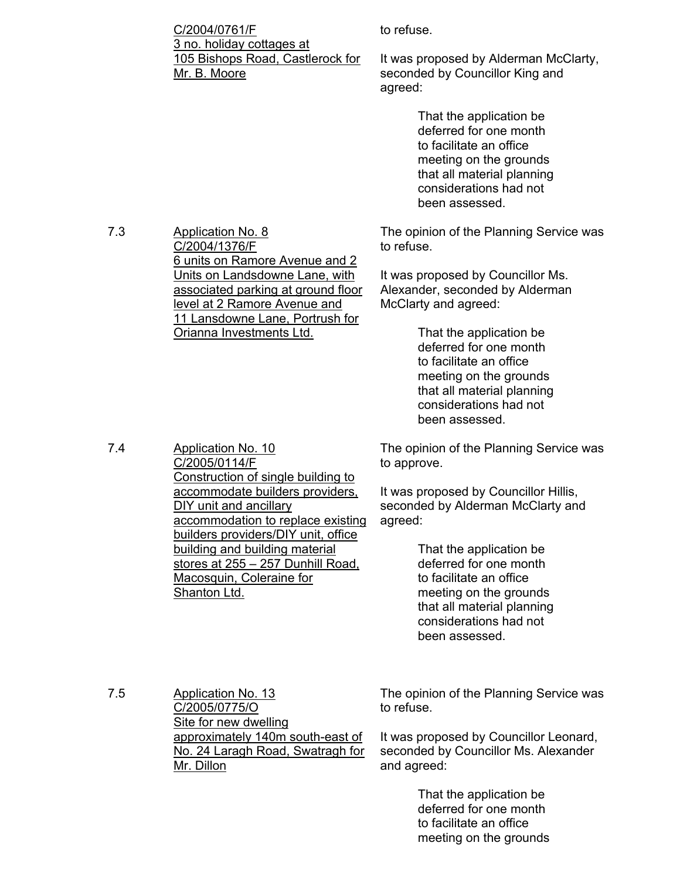C/2004/0761/F 3 no. holiday cottages at 105 Bishops Road, Castlerock for Mr. B. Moore

6 units on Ramore Avenue and 2 Units on Landsdowne Lane, with associated parking at ground floor level at 2 Ramore Avenue and 11 Lansdowne Lane, Portrush for

Construction of single building to accommodate builders providers,

accommodation to replace existing builders providers/DIY unit, office building and building material stores at 255 – 257 Dunhill Road,

Orianna Investments Ltd.

to refuse.

It was proposed by Alderman McClarty, seconded by Councillor King and agreed:

> That the application be deferred for one month to facilitate an office meeting on the grounds that all material planning considerations had not been assessed.

The opinion of the Planning Service was to refuse.

It was proposed by Councillor Ms. Alexander, seconded by Alderman McClarty and agreed:

> That the application be deferred for one month to facilitate an office meeting on the grounds that all material planning considerations had not been assessed.

The opinion of the Planning Service was to approve.

It was proposed by Councillor Hillis, seconded by Alderman McClarty and agreed:

> That the application be deferred for one month to facilitate an office meeting on the grounds that all material planning considerations had not been assessed.

7.5 Application No. 13 C/2005/0775/O Site for new dwelling approximately 140m south-east of No. 24 Laragh Road, Swatragh for Mr. Dillon

The opinion of the Planning Service was to refuse.

It was proposed by Councillor Leonard, seconded by Councillor Ms. Alexander and agreed:

> That the application be deferred for one month to facilitate an office meeting on the grounds

7.4 Application No. 10

7.3 Application No. 8

C/2004/1376/F

C/2005/0114/F

Shanton Ltd.

DIY unit and ancillary

Macosquin, Coleraine for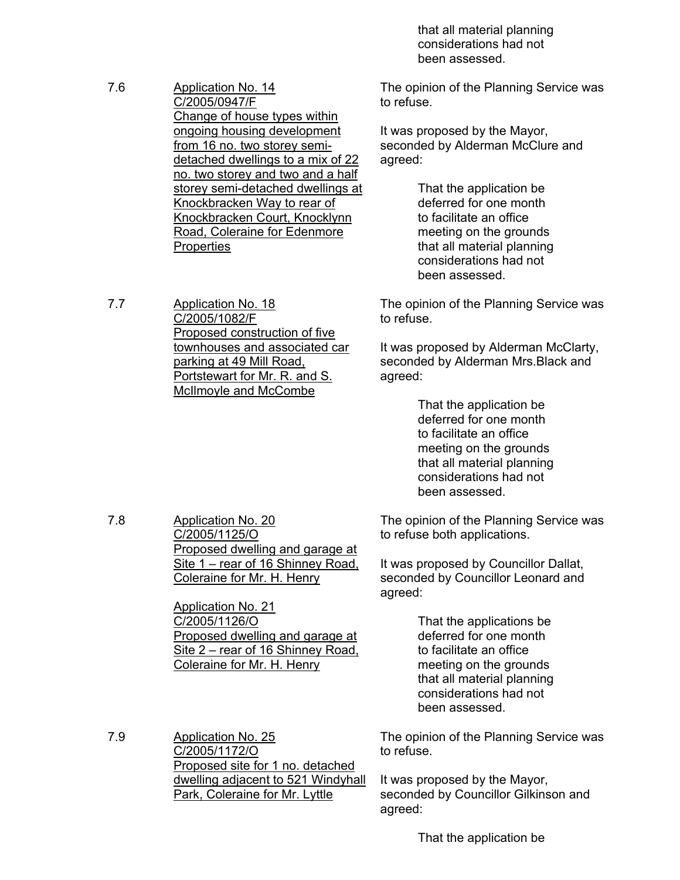that all material planning considerations had not been assessed.

The opinion of the Planning Service was to refuse.

It was proposed by the Mayor, seconded by Alderman McClure and agreed:

> That the application be deferred for one month to facilitate an office meeting on the grounds that all material planning considerations had not been assessed.

The opinion of the Planning Service was to refuse.

It was proposed by Alderman McClarty, seconded by Alderman Mrs.Black and agreed:

> That the application be deferred for one month to facilitate an office meeting on the grounds that all material planning considerations had not been assessed.

The opinion of the Planning Service was to refuse both applications.

It was proposed by Councillor Dallat, seconded by Councillor Leonard and agreed:

> That the applications be deferred for one month to facilitate an office meeting on the grounds that all material planning considerations had not been assessed.

The opinion of the Planning Service was to refuse.

It was proposed by the Mayor, seconded by Councillor Gilkinson and agreed:

That the application be

7.6 Application No. 14 C/2005/0947/F Change of house types within ongoing housing development from 16 no. two storey semidetached dwellings to a mix of 22 no. two storey and two and a half storey semi-detached dwellings at Knockbracken Way to rear of Knockbracken Court, Knocklynn Road, Coleraine for Edenmore **Properties** 

7.7 Application No. 18 C/2005/1082/F Proposed construction of five townhouses and associated car parking at 49 Mill Road, Portstewart for Mr. R. and S. McIlmoyle and McCombe

7.8 Application No. 20 C/2005/1125/O Proposed dwelling and garage at Site 1 – rear of 16 Shinney Road, Coleraine for Mr. H. Henry

> Application No. 21 C/2005/1126/O Proposed dwelling and garage at Site 2 – rear of 16 Shinney Road, Coleraine for Mr. H. Henry

7.9 Application No. 25 C/2005/1172/O Proposed site for 1 no. detached dwelling adjacent to 521 Windyhall Park, Coleraine for Mr. Lyttle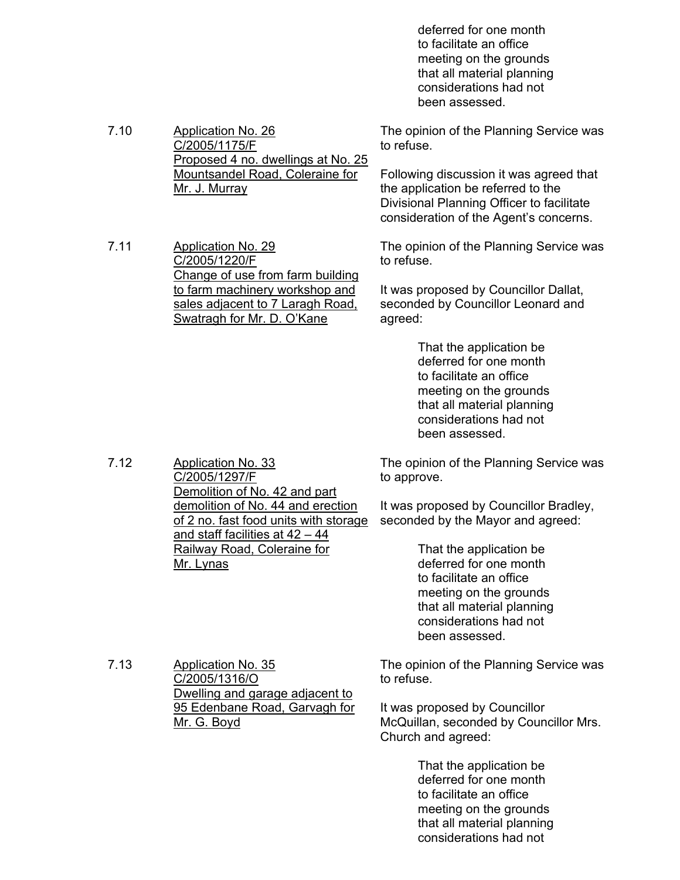deferred for one month to facilitate an office meeting on the grounds that all material planning considerations had not been assessed.

The opinion of the Planning Service was to refuse.

Following discussion it was agreed that the application be referred to the Divisional Planning Officer to facilitate consideration of the Agent's concerns.

The opinion of the Planning Service was to refuse.

It was proposed by Councillor Dallat, seconded by Councillor Leonard and agreed:

> That the application be deferred for one month to facilitate an office meeting on the grounds that all material planning considerations had not been assessed.

The opinion of the Planning Service was to approve.

It was proposed by Councillor Bradley, seconded by the Mayor and agreed:

> That the application be deferred for one month to facilitate an office meeting on the grounds that all material planning considerations had not been assessed.

The opinion of the Planning Service was to refuse.

It was proposed by Councillor McQuillan, seconded by Councillor Mrs. Church and agreed:

> That the application be deferred for one month to facilitate an office meeting on the grounds that all material planning considerations had not

7.10 Application No. 26 C/2005/1175/F Proposed 4 no. dwellings at No. 25 Mountsandel Road, Coleraine for Mr. J. Murray

7.11 Application No. 29 C/2005/1220/F Change of use from farm building to farm machinery workshop and sales adjacent to 7 Laragh Road, Swatragh for Mr. D. O'Kane

7.12 Application No. 33 C/2005/1297/F Demolition of No. 42 and part demolition of No. 44 and erection of 2 no. fast food units with storage and staff facilities at 42 – 44 Railway Road, Coleraine for Mr. Lynas

> Dwelling and garage adjacent to 95 Edenbane Road, Garvagh for

C/2005/1316/O

Mr. G. Boyd

7.13 Application No. 35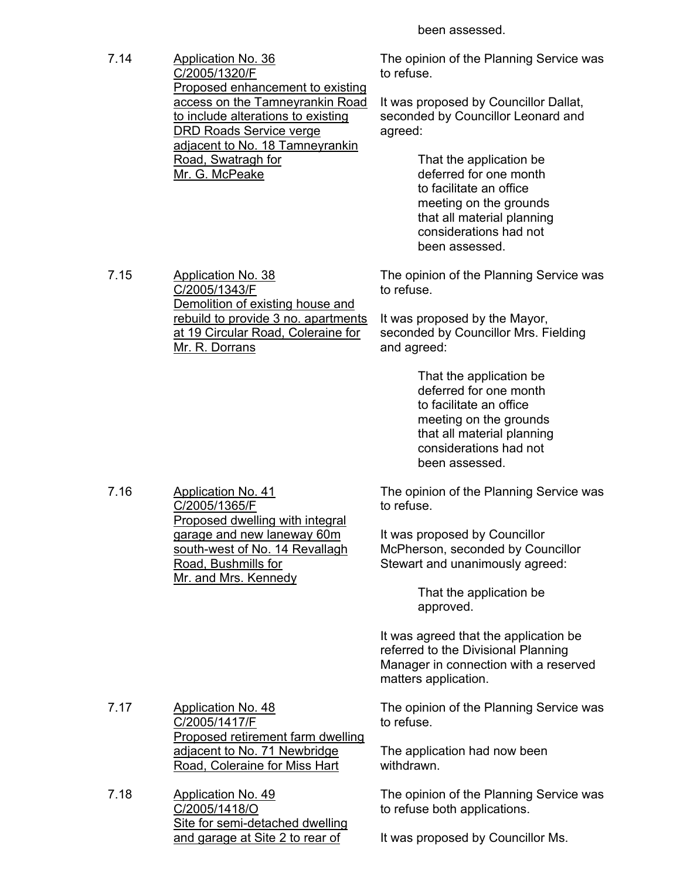been assessed.

7.14 Application No. 36 C/2005/1320/F Proposed enhancement to existing access on the Tamneyrankin Road to include alterations to existing DRD Roads Service verge adjacent to No. 18 Tamneyrankin Road, Swatragh for Mr. G. McPeake

The opinion of the Planning Service was to refuse.

It was proposed by Councillor Dallat, seconded by Councillor Leonard and agreed:

> That the application be deferred for one month to facilitate an office meeting on the grounds that all material planning considerations had not been assessed.

The opinion of the Planning Service was to refuse.

It was proposed by the Mayor, seconded by Councillor Mrs. Fielding and agreed:

> That the application be deferred for one month to facilitate an office meeting on the grounds that all material planning considerations had not been assessed.

The opinion of the Planning Service was to refuse.

It was proposed by Councillor McPherson, seconded by Councillor Stewart and unanimously agreed:

> That the application be approved.

It was agreed that the application be referred to the Divisional Planning Manager in connection with a reserved matters application.

The opinion of the Planning Service was to refuse.

The application had now been withdrawn.

The opinion of the Planning Service was to refuse both applications.

It was proposed by Councillor Ms.

7.15 Application No. 38

C/2005/1343/F Demolition of existing house and rebuild to provide 3 no. apartments at 19 Circular Road, Coleraine for Mr. R. Dorrans

7.16 Application No. 41 C/2005/1365/F Proposed dwelling with integral garage and new laneway 60m south-west of No. 14 Revallagh Road, Bushmills for Mr. and Mrs. Kennedy

7.17 Application No. 48 C/2005/1417/F Proposed retirement farm dwelling adjacent to No. 71 Newbridge Road, Coleraine for Miss Hart

7.18 Application No. 49 C/2005/1418/O Site for semi-detached dwelling and garage at Site 2 to rear of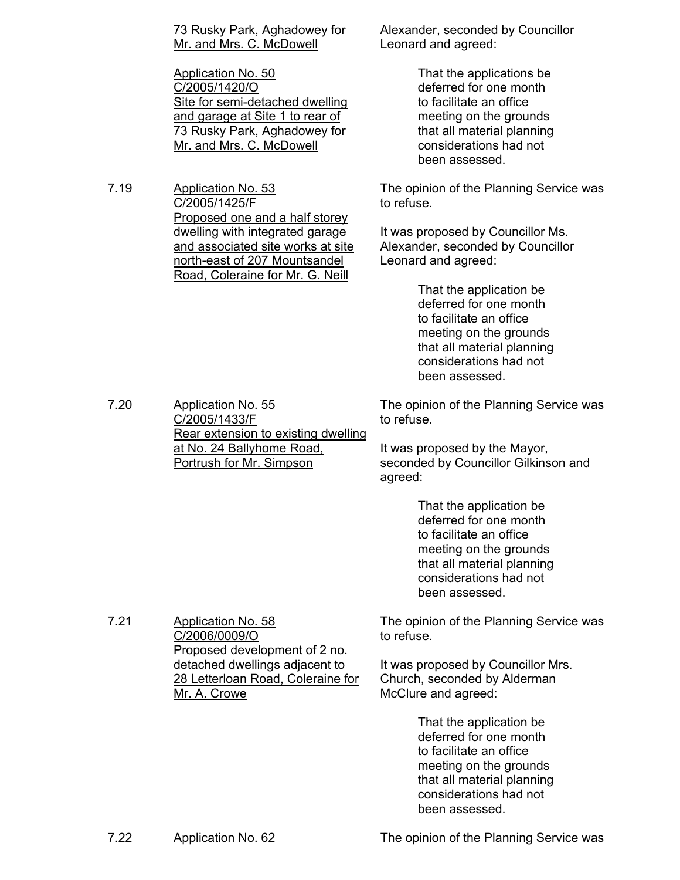|  | 73 Rusky Park, Aghadowey for |  |
|--|------------------------------|--|
|  | Mr. and Mrs. C. McDowell     |  |

Application No. 50 C/2005/1420/O Site for semi-detached dwelling and garage at Site 1 to rear of 73 Rusky Park, Aghadowey for Mr. and Mrs. C. McDowell

7.19 Application No. 53 C/2005/1425/F Proposed one and a half storey dwelling with integrated garage and associated site works at site north-east of 207 Mountsandel Road, Coleraine for Mr. G. Neill

7.20 Application No. 55

C/2005/1433/F

at No. 24 Ballyhome Road, Portrush for Mr. Simpson

Alexander, seconded by Councillor Leonard and agreed:

> That the applications be deferred for one month to facilitate an office meeting on the grounds that all material planning considerations had not been assessed.

The opinion of the Planning Service was to refuse.

It was proposed by Councillor Ms. Alexander, seconded by Councillor Leonard and agreed:

> That the application be deferred for one month to facilitate an office meeting on the grounds that all material planning considerations had not been assessed.

Rear extension to existing dwelling The opinion of the Planning Service was to refuse.

> It was proposed by the Mayor, seconded by Councillor Gilkinson and agreed:

> > That the application be deferred for one month to facilitate an office meeting on the grounds that all material planning considerations had not been assessed.

7.21 Application No. 58 C/2006/0009/O Proposed development of 2 no. detached dwellings adjacent to 28 Letterloan Road, Coleraine for Mr. A. Crowe

The opinion of the Planning Service was to refuse.

It was proposed by Councillor Mrs. Church, seconded by Alderman McClure and agreed:

> That the application be deferred for one month to facilitate an office meeting on the grounds that all material planning considerations had not been assessed.

7.22 Application No. 62 The opinion of the Planning Service was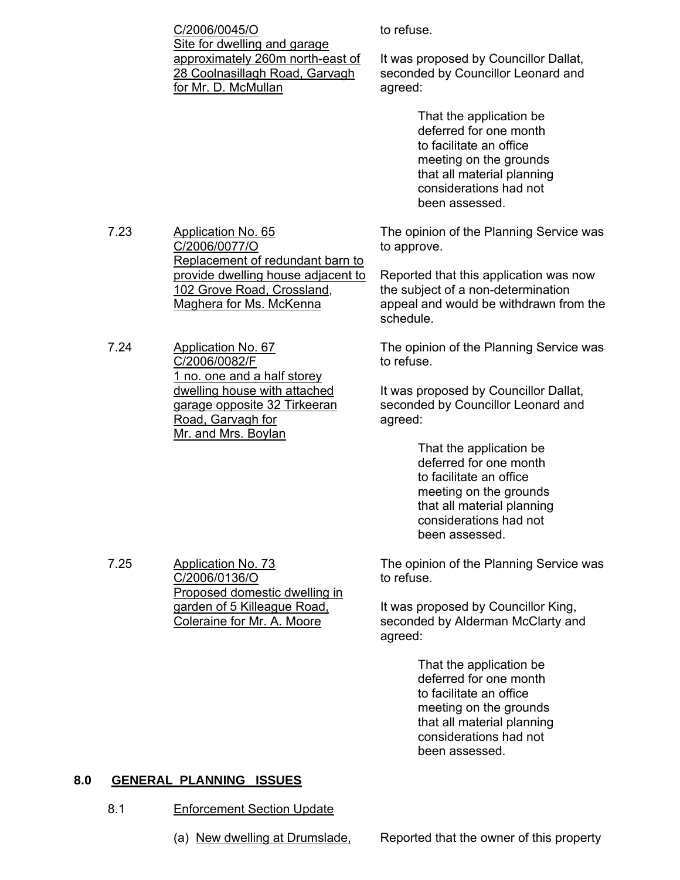C/2006/0045/O Site for dwelling and garage approximately 260m north-east of 28 Coolnasillagh Road, Garvagh for Mr. D. McMullan

to refuse.

It was proposed by Councillor Dallat, seconded by Councillor Leonard and agreed:

> That the application be deferred for one month to facilitate an office meeting on the grounds that all material planning considerations had not been assessed.

The opinion of the Planning Service was to approve.

Reported that this application was now the subject of a non-determination appeal and would be withdrawn from the schedule.

The opinion of the Planning Service was to refuse.

It was proposed by Councillor Dallat, seconded by Councillor Leonard and agreed:

> That the application be deferred for one month to facilitate an office meeting on the grounds that all material planning considerations had not been assessed.

The opinion of the Planning Service was to refuse.

It was proposed by Councillor King, seconded by Alderman McClarty and agreed:

> That the application be deferred for one month to facilitate an office meeting on the grounds that all material planning considerations had not been assessed.

## **8.0 GENERAL PLANNING ISSUES**

7.25 Application No. 73

C/2006/0136/O

Proposed domestic dwelling in garden of 5 Killeague Road, Coleraine for Mr. A. Moore

- 8.1 Enforcement Section Update
	- (a) New dwelling at Drumslade, Reported that the owner of this property

7.23 Application No. 65 C/2006/0077/O Replacement of redundant barn to provide dwelling house adjacent to 102 Grove Road, Crossland, Maghera for Ms. McKenna

7.24 Application No. 67 C/2006/0082/F 1 no. one and a half storey dwelling house with attached garage opposite 32 Tirkeeran Road, Garvagh for Mr. and Mrs. Boylan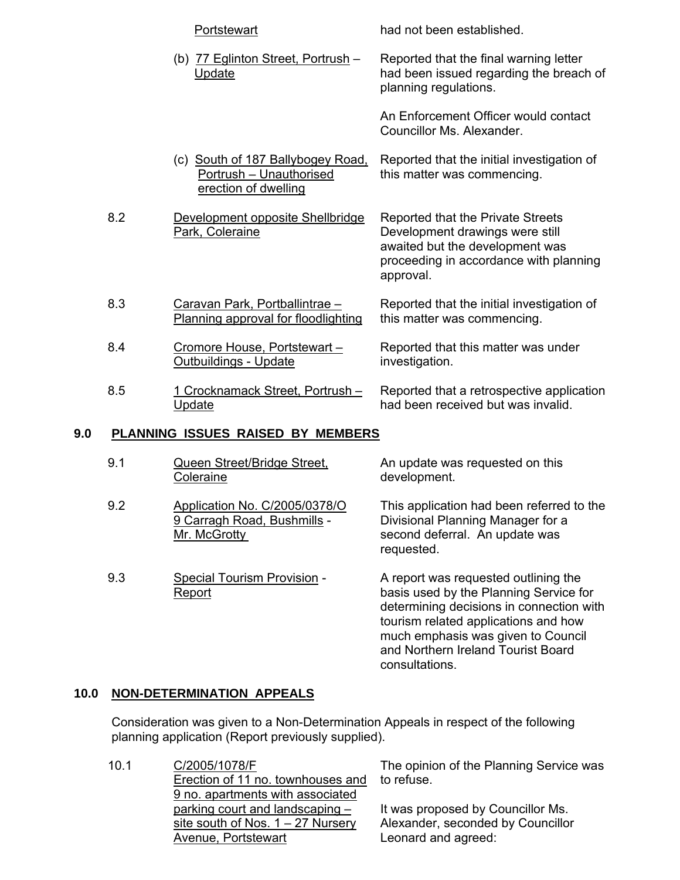|     |     | Portstewart                                                                          | had not been established.                                                                                                                                      |
|-----|-----|--------------------------------------------------------------------------------------|----------------------------------------------------------------------------------------------------------------------------------------------------------------|
|     |     | (b) 77 Eglinton Street, Portrush -<br>Update                                         | Reported that the final warning letter<br>had been issued regarding the breach of<br>planning regulations.                                                     |
|     |     |                                                                                      | An Enforcement Officer would contact<br>Councillor Ms. Alexander.                                                                                              |
|     |     | (c) South of 187 Ballybogey Road,<br>Portrush - Unauthorised<br>erection of dwelling | Reported that the initial investigation of<br>this matter was commencing.                                                                                      |
|     | 8.2 | Development opposite Shellbridge<br>Park, Coleraine                                  | Reported that the Private Streets<br>Development drawings were still<br>awaited but the development was<br>proceeding in accordance with planning<br>approval. |
|     | 8.3 | Caravan Park, Portballintrae-<br>Planning approval for floodlighting                 | Reported that the initial investigation of<br>this matter was commencing.                                                                                      |
|     | 8.4 | Cromore House, Portstewart-<br><u> Outbuildings - Update</u>                         | Reported that this matter was under<br>investigation.                                                                                                          |
|     | 8.5 | 1 Crocknamack Street, Portrush -<br>Update                                           | Reported that a retrospective application<br>had been received but was invalid.                                                                                |
| 9.0 |     | PLANNING ISSUES RAISED BY MEMBERS                                                    |                                                                                                                                                                |
|     |     | $Q_{\text{mean}} Q_{\text{mean}} + \left  Q_{\text{mean}} Q_{\text{mean}} \right $   | Am inselate iiraa maarraataal am thia                                                                                                                          |

- 9.1 Queen Street/Bridge Street, **Coleraine**
- 9.2 Application No. C/2005/0378/O 9 Carragh Road, Bushmills -Mr. McGrotty
- 9.3 Special Tourism Provision Report

An update was requested on this development.

This application had been referred to the Divisional Planning Manager for a second deferral. An update was requested.

A report was requested outlining the basis used by the Planning Service for determining decisions in connection with tourism related applications and how much emphasis was given to Council and Northern Ireland Tourist Board consultations.

# **10.0 NON-DETERMINATION APPEALS**

 Consideration was given to a Non-Determination Appeals in respect of the following planning application (Report previously supplied).

10.1 C/2005/1078/F Erection of 11 no. townhouses and 9 no. apartments with associated parking court and landscaping – site south of Nos. 1 – 27 Nursery Avenue, Portstewart

The opinion of the Planning Service was to refuse.

It was proposed by Councillor Ms. Alexander, seconded by Councillor Leonard and agreed: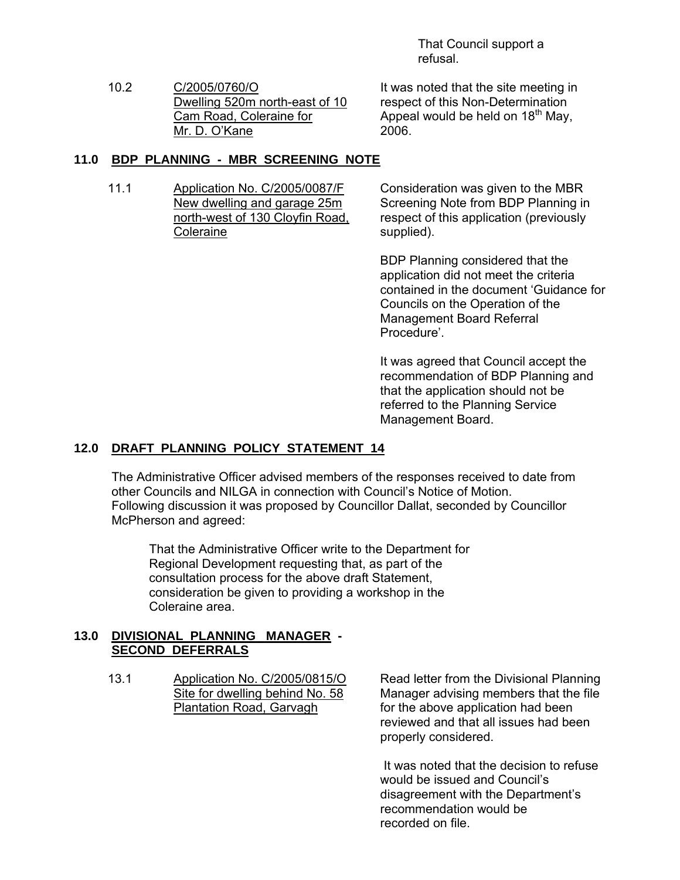That Council support a refusal.

10.2 C/2005/0760/O Dwelling 520m north-east of 10 Cam Road, Coleraine for Mr. D. O'Kane

It was noted that the site meeting in respect of this Non-Determination Appeal would be held on  $18<sup>th</sup>$  May, 2006.

## **11.0 BDP PLANNING - MBR SCREENING NOTE**

11.1 Application No. C/2005/0087/F New dwelling and garage 25m north-west of 130 Cloyfin Road, Coleraine

Consideration was given to the MBR Screening Note from BDP Planning in respect of this application (previously supplied).

BDP Planning considered that the application did not meet the criteria contained in the document 'Guidance for Councils on the Operation of the Management Board Referral Procedure'.

It was agreed that Council accept the recommendation of BDP Planning and that the application should not be referred to the Planning Service Management Board.

# **12.0 DRAFT PLANNING POLICY STATEMENT 14**

 The Administrative Officer advised members of the responses received to date from other Councils and NILGA in connection with Council's Notice of Motion. Following discussion it was proposed by Councillor Dallat, seconded by Councillor McPherson and agreed:

 That the Administrative Officer write to the Department for Regional Development requesting that, as part of the consultation process for the above draft Statement, consideration be given to providing a workshop in the Coleraine area.

## **13.0 DIVISIONAL PLANNING MANAGER - SECOND DEFERRALS**

13.1 Application No. C/2005/0815/O Site for dwelling behind No. 58 Plantation Road, Garvagh

Read letter from the Divisional Planning Manager advising members that the file for the above application had been reviewed and that all issues had been properly considered.

 It was noted that the decision to refuse would be issued and Council's disagreement with the Department's recommendation would be recorded on file.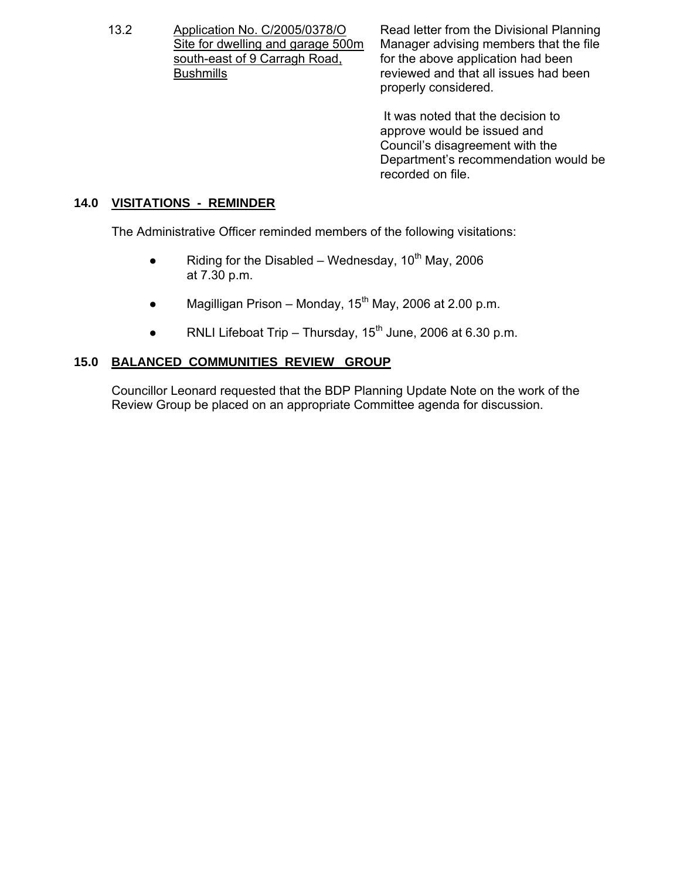13.2 Application No. C/2005/0378/O Site for dwelling and garage 500m south-east of 9 Carragh Road, **Bushmills** 

Read letter from the Divisional Planning Manager advising members that the file for the above application had been reviewed and that all issues had been properly considered.

 It was noted that the decision to approve would be issued and Council's disagreement with the Department's recommendation would be recorded on file.

## **14.0 VISITATIONS - REMINDER**

The Administrative Officer reminded members of the following visitations:

- Riding for the Disabled Wednesday,  $10^{th}$  May, 2006 at 7.30 p.m.
- Magilligan Prison Monday,  $15<sup>th</sup>$  May, 2006 at 2.00 p.m.
- RNLI Lifeboat Trip Thursday,  $15<sup>th</sup>$  June, 2006 at 6.30 p.m.

# **15.0 BALANCED COMMUNITIES REVIEW GROUP**

 Councillor Leonard requested that the BDP Planning Update Note on the work of the Review Group be placed on an appropriate Committee agenda for discussion.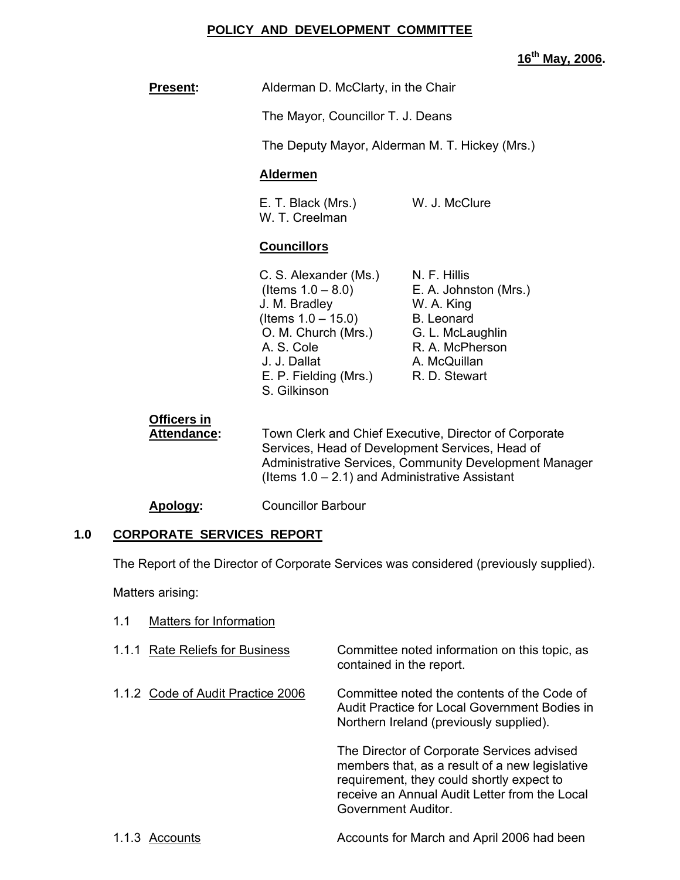## **POLICY AND DEVELOPMENT COMMITTEE**

**16th May, 2006.** 

| <b>Present:</b>                          |                                                                                                                                                                             | Alderman D. McClarty, in the Chair                                                                                                                                                                                      |  |
|------------------------------------------|-----------------------------------------------------------------------------------------------------------------------------------------------------------------------------|-------------------------------------------------------------------------------------------------------------------------------------------------------------------------------------------------------------------------|--|
|                                          |                                                                                                                                                                             | The Mayor, Councillor T. J. Deans                                                                                                                                                                                       |  |
|                                          |                                                                                                                                                                             | The Deputy Mayor, Alderman M. T. Hickey (Mrs.)                                                                                                                                                                          |  |
|                                          | <b>Aldermen</b>                                                                                                                                                             |                                                                                                                                                                                                                         |  |
|                                          | E. T. Black (Mrs.)<br>W. T. Creelman                                                                                                                                        | W. J. McClure                                                                                                                                                                                                           |  |
|                                          | <b>Councillors</b>                                                                                                                                                          |                                                                                                                                                                                                                         |  |
|                                          | C. S. Alexander (Ms.)<br>J. M. Bradley<br>(Items $1.0 - 15.0$ )<br>O. M. Church (Mrs.)<br>A. S. Cole<br>J. J. Dallat<br>E. P. Fielding (Mrs.) R. D. Stewart<br>S. Gilkinson | N. F. Hillis<br>(Items $1.0 - 8.0$ ) E. A. Johnston (Mrs.)<br>W. A. King<br><b>B.</b> Leonard<br>G. L. McLaughlin<br>R. A. McPherson<br>A. McQuillan                                                                    |  |
| <b>Officers in</b><br><b>Attendance:</b> |                                                                                                                                                                             | Town Clerk and Chief Executive, Director of Corporate<br>Services, Head of Development Services, Head of<br>Administrative Services, Community Development Manager<br>(Items $1.0 - 2.1$ ) and Administrative Assistant |  |
| Apology:                                 | <b>Councillor Barbour</b>                                                                                                                                                   |                                                                                                                                                                                                                         |  |
| <b>CORPORATE SERVICES REPORT</b><br>1.0  |                                                                                                                                                                             |                                                                                                                                                                                                                         |  |

The Report of the Director of Corporate Services was considered (previously supplied).

Matters arising:

| 1.1 | Matters for Information           |                                                                                                                                                                                                                   |
|-----|-----------------------------------|-------------------------------------------------------------------------------------------------------------------------------------------------------------------------------------------------------------------|
|     | 1.1.1 Rate Reliefs for Business   | Committee noted information on this topic, as<br>contained in the report.                                                                                                                                         |
|     | 1.1.2 Code of Audit Practice 2006 | Committee noted the contents of the Code of<br>Audit Practice for Local Government Bodies in<br>Northern Ireland (previously supplied).                                                                           |
|     |                                   | The Director of Corporate Services advised<br>members that, as a result of a new legislative<br>requirement, they could shortly expect to<br>receive an Annual Audit Letter from the Local<br>Government Auditor. |
|     | 1.1.3 Accounts                    | Accounts for March and April 2006 had been                                                                                                                                                                        |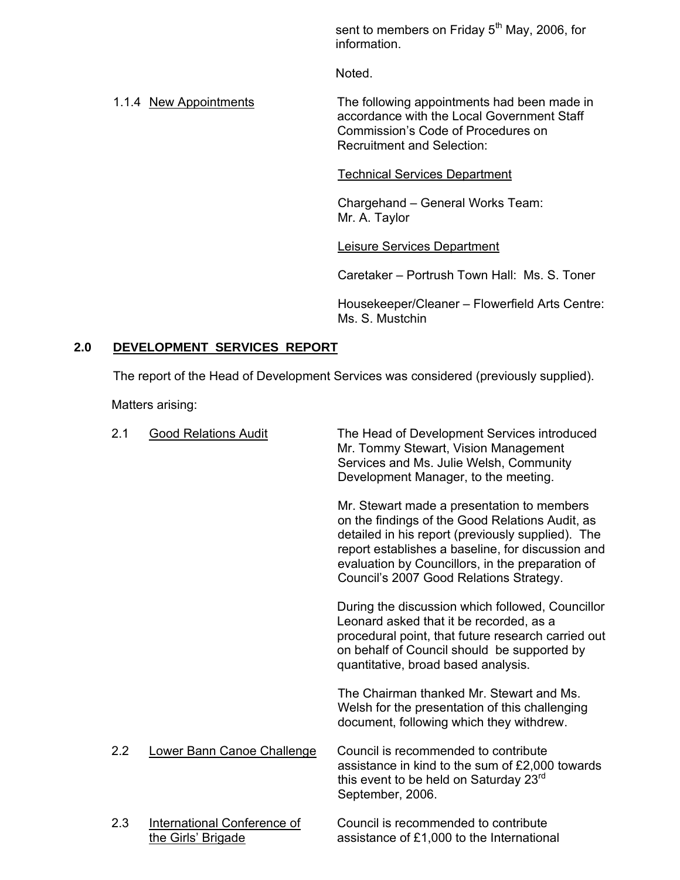sent to members on Friday 5<sup>th</sup> May, 2006, for information.

Noted.

1.1.4 New Appointments The following appointments had been made in accordance with the Local Government Staff Commission's Code of Procedures on Recruitment and Selection:

# Technical Services Department

Chargehand – General Works Team: Mr. A. Taylor

# Leisure Services Department

Caretaker – Portrush Town Hall: Ms. S. Toner

Housekeeper/Cleaner – Flowerfield Arts Centre: Ms. S. Mustchin

# **2.0 DEVELOPMENT SERVICES REPORT**

The report of the Head of Development Services was considered (previously supplied).

Matters arising:

| 2.1 | <b>Good Relations Audit</b>                       | The Head of Development Services introduced<br>Mr. Tommy Stewart, Vision Management<br>Services and Ms. Julie Welsh, Community<br>Development Manager, to the meeting.                                                                                                                                 |
|-----|---------------------------------------------------|--------------------------------------------------------------------------------------------------------------------------------------------------------------------------------------------------------------------------------------------------------------------------------------------------------|
|     |                                                   | Mr. Stewart made a presentation to members<br>on the findings of the Good Relations Audit, as<br>detailed in his report (previously supplied). The<br>report establishes a baseline, for discussion and<br>evaluation by Councillors, in the preparation of<br>Council's 2007 Good Relations Strategy. |
|     |                                                   | During the discussion which followed, Councillor<br>Leonard asked that it be recorded, as a<br>procedural point, that future research carried out<br>on behalf of Council should be supported by<br>quantitative, broad based analysis.                                                                |
|     |                                                   | The Chairman thanked Mr. Stewart and Ms.<br>Welsh for the presentation of this challenging<br>document, following which they withdrew.                                                                                                                                                                 |
| 2.2 | Lower Bann Canoe Challenge                        | Council is recommended to contribute<br>assistance in kind to the sum of £2,000 towards<br>this event to be held on Saturday 23 <sup>rd</sup><br>September, 2006.                                                                                                                                      |
| 2.3 | International Conference of<br>the Girls' Brigade | Council is recommended to contribute<br>assistance of £1,000 to the International                                                                                                                                                                                                                      |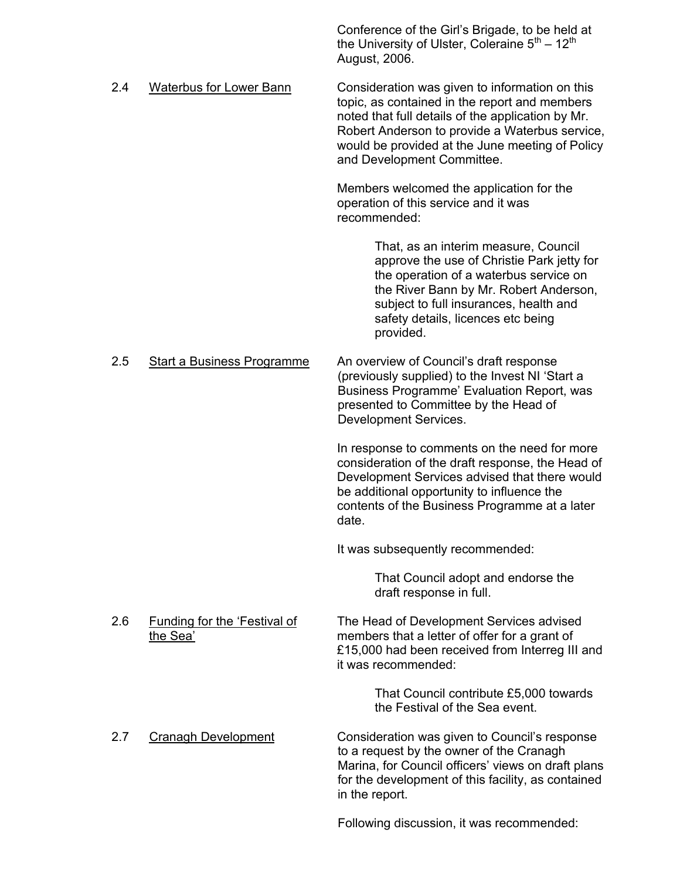|     |                                                 | Conference of the Girl's Brigade, to be held at<br>the University of Ulster, Coleraine $5^{th} - 12^{th}$<br>August, 2006.                                                                                                                                                              |
|-----|-------------------------------------------------|-----------------------------------------------------------------------------------------------------------------------------------------------------------------------------------------------------------------------------------------------------------------------------------------|
| 2.4 | <b>Waterbus for Lower Bann</b>                  | Consideration was given to information on this<br>topic, as contained in the report and members<br>noted that full details of the application by Mr.<br>Robert Anderson to provide a Waterbus service,<br>would be provided at the June meeting of Policy<br>and Development Committee. |
|     |                                                 | Members welcomed the application for the<br>operation of this service and it was<br>recommended:                                                                                                                                                                                        |
|     |                                                 | That, as an interim measure, Council<br>approve the use of Christie Park jetty for<br>the operation of a waterbus service on<br>the River Bann by Mr. Robert Anderson,<br>subject to full insurances, health and<br>safety details, licences etc being<br>provided.                     |
| 2.5 | <b>Start a Business Programme</b>               | An overview of Council's draft response<br>(previously supplied) to the Invest NI 'Start a<br>Business Programme' Evaluation Report, was<br>presented to Committee by the Head of<br>Development Services.                                                                              |
|     |                                                 | In response to comments on the need for more<br>consideration of the draft response, the Head of<br>Development Services advised that there would<br>be additional opportunity to influence the<br>contents of the Business Programme at a later<br>date.                               |
|     |                                                 | It was subsequently recommended:                                                                                                                                                                                                                                                        |
|     |                                                 | That Council adopt and endorse the<br>draft response in full.                                                                                                                                                                                                                           |
| 2.6 | <b>Funding for the 'Festival of</b><br>the Sea' | The Head of Development Services advised<br>members that a letter of offer for a grant of<br>£15,000 had been received from Interreg III and<br>it was recommended:                                                                                                                     |
|     |                                                 | That Council contribute £5,000 towards<br>the Festival of the Sea event.                                                                                                                                                                                                                |
| 2.7 | <b>Cranagh Development</b>                      | Consideration was given to Council's response<br>to a request by the owner of the Cranagh<br>Marina, for Council officers' views on draft plans<br>for the development of this facility, as contained<br>in the report.                                                                 |
|     |                                                 | Following discussion, it was recommended:                                                                                                                                                                                                                                               |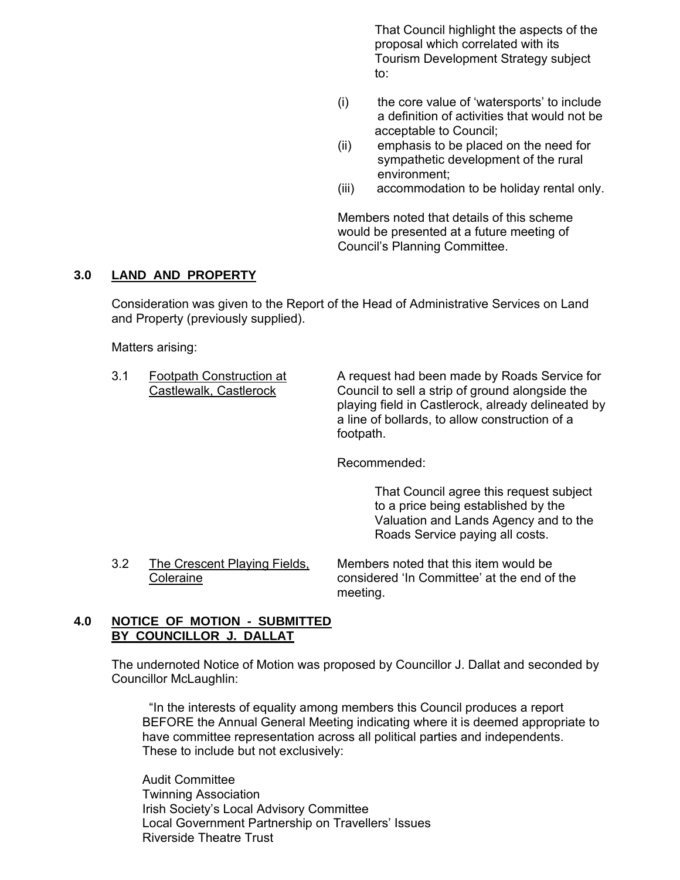That Council highlight the aspects of the proposal which correlated with its Tourism Development Strategy subject to:

- (i) the core value of 'watersports' to include a definition of activities that would not be acceptable to Council;
- (ii) emphasis to be placed on the need for sympathetic development of the rural environment;
- (iii) accommodation to be holiday rental only.

Members noted that details of this scheme would be presented at a future meeting of Council's Planning Committee.

## **3.0 LAND AND PROPERTY**

 Consideration was given to the Report of the Head of Administrative Services on Land and Property (previously supplied).

Matters arising:

3.1 Footpath Construction at A request had been made by Roads Service for Castlewalk, Castlerock Council to sell a strip of ground alongside the playing field in Castlerock, already delineated by a line of bollards, to allow construction of a footpath.

Recommended:

 That Council agree this request subject to a price being established by the Valuation and Lands Agency and to the Roads Service paying all costs.

3.2 The Crescent Playing Fields, Members noted that this item would be Coleraine considered 'In Committee' at the end of the meeting.

## **4.0 NOTICE OF MOTION - SUBMITTED BY COUNCILLOR J. DALLAT**

The undernoted Notice of Motion was proposed by Councillor J. Dallat and seconded by Councillor McLaughlin:

 "In the interests of equality among members this Council produces a report BEFORE the Annual General Meeting indicating where it is deemed appropriate to have committee representation across all political parties and independents. These to include but not exclusively:

Audit Committee Twinning Association Irish Society's Local Advisory Committee Local Government Partnership on Travellers' Issues Riverside Theatre Trust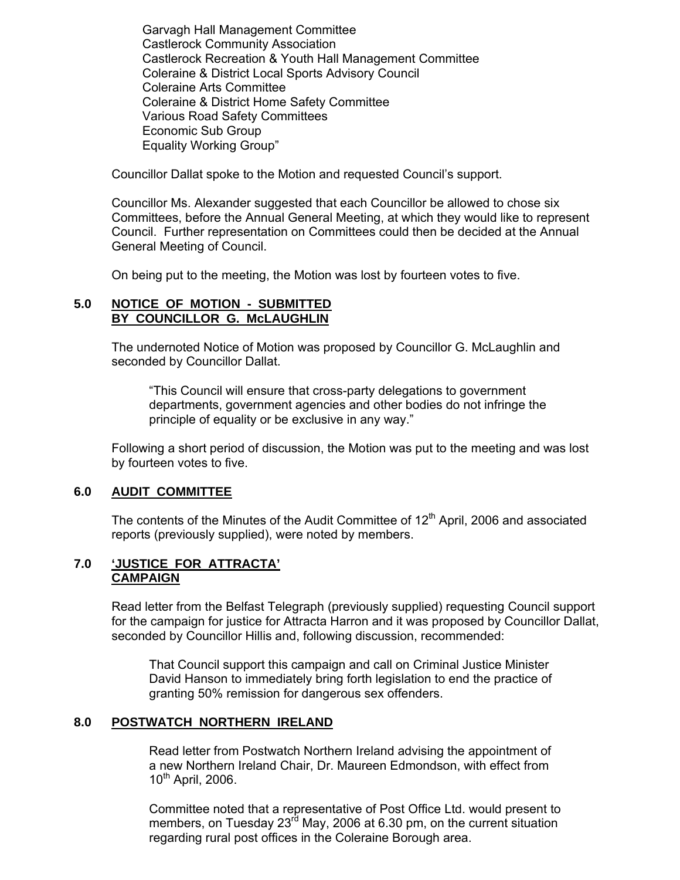Garvagh Hall Management Committee Castlerock Community Association Castlerock Recreation & Youth Hall Management Committee Coleraine & District Local Sports Advisory Council Coleraine Arts Committee Coleraine & District Home Safety Committee Various Road Safety Committees Economic Sub Group Equality Working Group"

Councillor Dallat spoke to the Motion and requested Council's support.

 Councillor Ms. Alexander suggested that each Councillor be allowed to chose six Committees, before the Annual General Meeting, at which they would like to represent Council. Further representation on Committees could then be decided at the Annual General Meeting of Council.

On being put to the meeting, the Motion was lost by fourteen votes to five.

## **5.0 NOTICE OF MOTION - SUBMITTED BY COUNCILLOR G. McLAUGHLIN**

 The undernoted Notice of Motion was proposed by Councillor G. McLaughlin and seconded by Councillor Dallat.

 "This Council will ensure that cross-party delegations to government departments, government agencies and other bodies do not infringe the principle of equality or be exclusive in any way."

 Following a short period of discussion, the Motion was put to the meeting and was lost by fourteen votes to five.

## **6.0 AUDIT COMMITTEE**

The contents of the Minutes of the Audit Committee of  $12<sup>th</sup>$  April, 2006 and associated reports (previously supplied), were noted by members.

#### **7.0 'JUSTICE FOR ATTRACTA' CAMPAIGN**

Read letter from the Belfast Telegraph (previously supplied) requesting Council support for the campaign for justice for Attracta Harron and it was proposed by Councillor Dallat, seconded by Councillor Hillis and, following discussion, recommended:

 That Council support this campaign and call on Criminal Justice Minister David Hanson to immediately bring forth legislation to end the practice of granting 50% remission for dangerous sex offenders.

## **8.0 POSTWATCH NORTHERN IRELAND**

Read letter from Postwatch Northern Ireland advising the appointment of a new Northern Ireland Chair, Dr. Maureen Edmondson, with effect from 10th April, 2006.

Committee noted that a representative of Post Office Ltd. would present to members, on Tuesday  $23<sup>rd</sup>$  May, 2006 at 6.30 pm, on the current situation regarding rural post offices in the Coleraine Borough area.